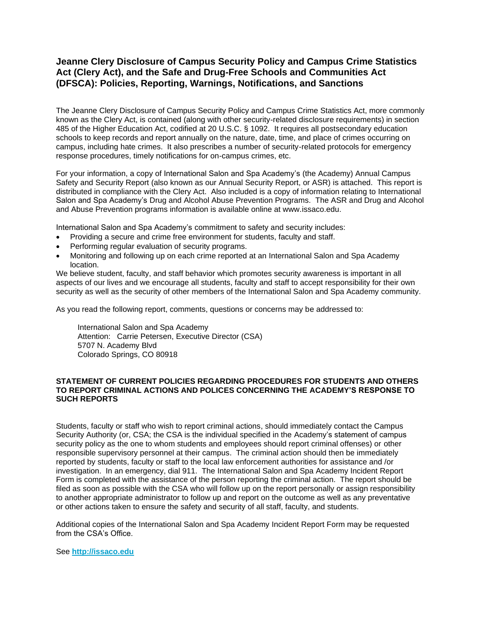# **Jeanne Clery Disclosure of Campus Security Policy and Campus Crime Statistics Act (Clery Act), and the Safe and Drug-Free Schools and Communities Act (DFSCA): Policies, Reporting, Warnings, Notifications, and Sanctions**

The Jeanne Clery Disclosure of Campus Security Policy and Campus Crime Statistics Act, more commonly known as the Clery Act, is contained (along with other security-related disclosure requirements) in section 485 of the Higher Education Act, codified at 20 U.S.C. § 1092. It requires all postsecondary education schools to keep records and report annually on the nature, date, time, and place of crimes occurring on campus, including hate crimes. It also prescribes a number of security-related protocols for emergency response procedures, timely notifications for on-campus crimes, etc.

For your information, a copy of International Salon and Spa Academy's (the Academy) Annual Campus Safety and Security Report (also known as our Annual Security Report, or ASR) is attached. This report is distributed in compliance with the Clery Act. Also included is a copy of information relating to International Salon and Spa Academy's Drug and Alcohol Abuse Prevention Programs. The ASR and Drug and Alcohol and Abuse Prevention programs information is available online at www.issaco.edu.

International Salon and Spa Academy's commitment to safety and security includes:

- Providing a secure and crime free environment for students, faculty and staff.
- Performing regular evaluation of security programs.
- Monitoring and following up on each crime reported at an International Salon and Spa Academy location.

We believe student, faculty, and staff behavior which promotes security awareness is important in all aspects of our lives and we encourage all students, faculty and staff to accept responsibility for their own security as well as the security of other members of the International Salon and Spa Academy community.

As you read the following report, comments, questions or concerns may be addressed to:

International Salon and Spa Academy Attention: Carrie Petersen, Executive Director (CSA) 5707 N. Academy Blvd Colorado Springs, CO 80918

## **STATEMENT OF CURRENT POLICIES REGARDING PROCEDURES FOR STUDENTS AND OTHERS TO REPORT CRIMINAL ACTIONS AND POLICES CONCERNING THE ACADEMY'S RESPONSE TO SUCH REPORTS**

Students, faculty or staff who wish to report criminal actions, should immediately contact the Campus Security Authority (or, CSA; the CSA is the individual specified in the Academy's statement of campus security policy as the one to whom students and employees should report criminal offenses) or other responsible supervisory personnel at their campus. The criminal action should then be immediately reported by students, faculty or staff to the local law enforcement authorities for assistance and /or investigation. In an emergency, dial 911. The International Salon and Spa Academy Incident Report Form is completed with the assistance of the person reporting the criminal action. The report should be filed as soon as possible with the CSA who will follow up on the report personally or assign responsibility to another appropriate administrator to follow up and report on the outcome as well as any preventative or other actions taken to ensure the safety and security of all staff, faculty, and students.

Additional copies of the International Salon and Spa Academy Incident Report Form may be requested from the CSA's Office.

See **[http://issaco.edu](http://issaco.edu/)**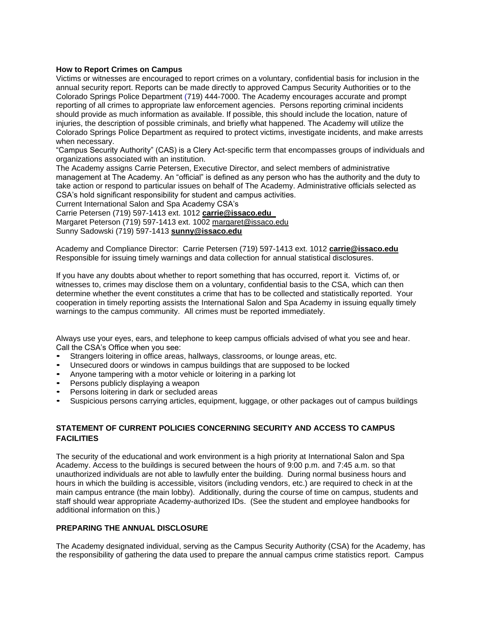## **How to Report Crimes on Campus**

Victims or witnesses are encouraged to report crimes on a voluntary, confidential basis for inclusion in the annual security report. Reports can be made directly to approved Campus Security Authorities or to the Colorado Springs Police Department (719) 444-7000. The Academy encourages accurate and prompt reporting of all crimes to appropriate law enforcement agencies. Persons reporting criminal incidents should provide as much information as available. If possible, this should include the location, nature of injuries, the description of possible criminals, and briefly what happened. The Academy will utilize the Colorado Springs Police Department as required to protect victims, investigate incidents, and make arrests when necessary.

"Campus Security Authority" (CAS) is a Clery Act-specific term that encompasses groups of individuals and organizations associated with an institution.

The Academy assigns Carrie Petersen, Executive Director, and select members of administrative management at The Academy. An "official" is defined as any person who has the authority and the duty to take action or respond to particular issues on behalf of The Academy. Administrative officials selected as CSA's hold significant responsibility for student and campus activities.

Current International Salon and Spa Academy CSA's

Carrie Petersen (719) 597-1413 ext. 1012 **[carrie@issaco.edu](mailto:carrie@issaco.edu  )**

Margaret Peterson (719) 597-1413 ext. 1002 margaret@issaco.edu

Sunny Sadowski (719) 597-1413 **[sunny@issaco.edu](mailto:sunny@issaco.edu)**

Academy and Compliance Director: Carrie Petersen (719) 597-1413 ext. 1012 **[carrie@issaco.edu](mailto:carrie@issaco.edu)** Responsible for issuing timely warnings and data collection for annual statistical disclosures.

If you have any doubts about whether to report something that has occurred, report it. Victims of, or witnesses to, crimes may disclose them on a voluntary, confidential basis to the CSA, which can then determine whether the event constitutes a crime that has to be collected and statistically reported. Your cooperation in timely reporting assists the International Salon and Spa Academy in issuing equally timely warnings to the campus community. All crimes must be reported immediately.

Always use your eyes, ears, and telephone to keep campus officials advised of what you see and hear. Call the CSA's Office when you see:

- Strangers loitering in office areas, hallways, classrooms, or lounge areas, etc.
- Unsecured doors or windows in campus buildings that are supposed to be locked
- Anyone tampering with a motor vehicle or loitering in a parking lot
- Persons publicly displaying a weapon
- Persons loitering in dark or secluded areas
- Suspicious persons carrying articles, equipment, luggage, or other packages out of campus buildings

# **STATEMENT OF CURRENT POLICIES CONCERNING SECURITY AND ACCESS TO CAMPUS FACILITIES**

The security of the educational and work environment is a high priority at International Salon and Spa Academy. Access to the buildings is secured between the hours of 9:00 p.m. and 7:45 a.m. so that unauthorized individuals are not able to lawfully enter the building. During normal business hours and hours in which the building is accessible, visitors (including vendors, etc.) are required to check in at the main campus entrance (the main lobby). Additionally, during the course of time on campus, students and staff should wear appropriate Academy-authorized IDs. (See the student and employee handbooks for additional information on this.)

# **PREPARING THE ANNUAL DISCLOSURE**

The Academy designated individual, serving as the Campus Security Authority (CSA) for the Academy, has the responsibility of gathering the data used to prepare the annual campus crime statistics report. Campus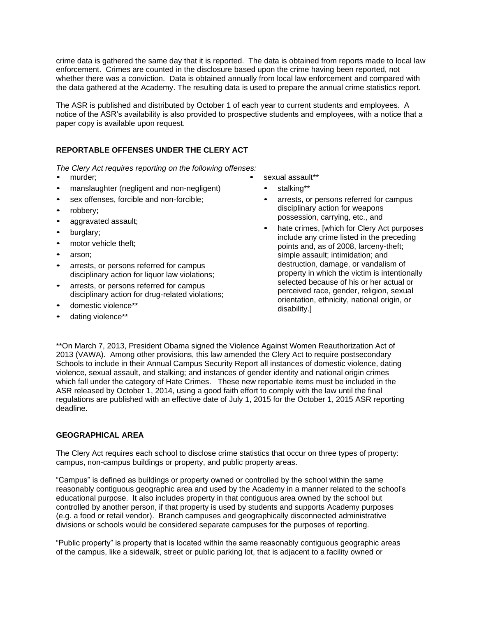crime data is gathered the same day that it is reported. The data is obtained from reports made to local law enforcement. Crimes are counted in the disclosure based upon the crime having been reported, not whether there was a conviction. Data is obtained annually from local law enforcement and compared with the data gathered at the Academy. The resulting data is used to prepare the annual crime statistics report.

The ASR is published and distributed by October 1 of each year to current students and employees. A notice of the ASR's availability is also provided to prospective students and employees, with a notice that a paper copy is available upon request.

# **REPORTABLE OFFENSES UNDER THE CLERY ACT**

*The Clery Act requires reporting on the following offenses:* 

- murder:
- manslaughter (negligent and non-negligent)
- sex offenses, forcible and non-forcible;
- robbery;
- aggravated assault;
- burglary;
- motor vehicle theft;
- arson:
- arrests, or persons referred for campus disciplinary action for liquor law violations;
- arrests, or persons referred for campus disciplinary action for drug-related violations;
- domestic violence\*\*
- dating violence\*\*

sexual assault\*\*

- stalking\*\*
- arrests, or persons referred for campus disciplinary action for weapons possession, carrying, etc., and
- hate crimes, [which for Clery Act purposes include any crime listed in the preceding points and, as of 2008, larceny-theft; simple assault; intimidation; and destruction, damage, or vandalism of property in which the victim is intentionally selected because of his or her actual or perceived race, gender, religion, sexual orientation, ethnicity, national origin, or disability.]

\*\*On March 7, 2013, President Obama signed the Violence Against Women Reauthorization Act of 2013 (VAWA). Among other provisions, this law amended the Clery Act to require postsecondary Schools to include in their Annual Campus Security Report all instances of domestic violence, dating violence, sexual assault, and stalking; and instances of gender identity and national origin crimes which fall under the category of Hate Crimes. These new reportable items must be included in the ASR released by October 1, 2014, using a good faith effort to comply with the law until the final regulations are published with an effective date of July 1, 2015 for the October 1, 2015 ASR reporting deadline.

## **GEOGRAPHICAL AREA**

The Clery Act requires each school to disclose crime statistics that occur on three types of property: campus, non-campus buildings or property, and public property areas.

"Campus" is defined as buildings or property owned or controlled by the school within the same reasonably contiguous geographic area and used by the Academy in a manner related to the school's educational purpose. It also includes property in that contiguous area owned by the school but controlled by another person, if that property is used by students and supports Academy purposes (e.g. a food or retail vendor). Branch campuses and geographically disconnected administrative divisions or schools would be considered separate campuses for the purposes of reporting.

"Public property" is property that is located within the same reasonably contiguous geographic areas of the campus, like a sidewalk, street or public parking lot, that is adjacent to a facility owned or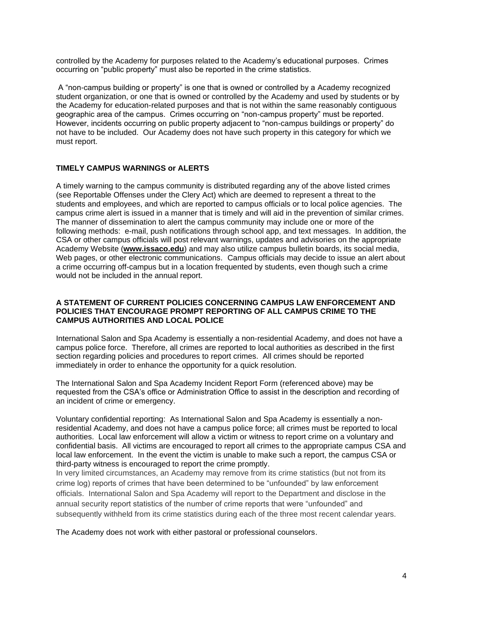controlled by the Academy for purposes related to the Academy's educational purposes. Crimes occurring on "public property" must also be reported in the crime statistics.

A "non-campus building or property" is one that is owned or controlled by a Academy recognized student organization, or one that is owned or controlled by the Academy and used by students or by the Academy for education-related purposes and that is not within the same reasonably contiguous geographic area of the campus. Crimes occurring on "non-campus property" must be reported. However, incidents occurring on public property adjacent to "non-campus buildings or property" do not have to be included. Our Academy does not have such property in this category for which we must report.

## **TIMELY CAMPUS WARNINGS or ALERTS**

A timely warning to the campus community is distributed regarding any of the above listed crimes (see Reportable Offenses under the Clery Act) which are deemed to represent a threat to the students and employees, and which are reported to campus officials or to local police agencies. The campus crime alert is issued in a manner that is timely and will aid in the prevention of similar crimes. The manner of dissemination to alert the campus community may include one or more of the following methods: e-mail, push notifications through school app, and text messages. In addition, the CSA or other campus officials will post relevant warnings, updates and advisories on the appropriate Academy Website (**[www.issaco.edu](http://www.issaco.edu/)**) and may also utilize campus bulletin boards, its social media, Web pages, or other electronic communications. Campus officials may decide to issue an alert about a crime occurring off-campus but in a location frequented by students, even though such a crime would not be included in the annual report.

## **A STATEMENT OF CURRENT POLICIES CONCERNING CAMPUS LAW ENFORCEMENT AND POLICIES THAT ENCOURAGE PROMPT REPORTING OF ALL CAMPUS CRIME TO THE CAMPUS AUTHORITIES AND LOCAL POLICE**

International Salon and Spa Academy is essentially a non-residential Academy, and does not have a campus police force. Therefore, all crimes are reported to local authorities as described in the first section regarding policies and procedures to report crimes. All crimes should be reported immediately in order to enhance the opportunity for a quick resolution.

The International Salon and Spa Academy Incident Report Form (referenced above) may be requested from the CSA's office or Administration Office to assist in the description and recording of an incident of crime or emergency.

Voluntary confidential reporting: As International Salon and Spa Academy is essentially a nonresidential Academy, and does not have a campus police force; all crimes must be reported to local authorities. Local law enforcement will allow a victim or witness to report crime on a voluntary and confidential basis. All victims are encouraged to report all crimes to the appropriate campus CSA and local law enforcement. In the event the victim is unable to make such a report, the campus CSA or third-party witness is encouraged to report the crime promptly.

In very limited circumstances, an Academy may remove from its crime statistics (but not from its crime log) reports of crimes that have been determined to be "unfounded" by law enforcement officials. International Salon and Spa Academy will report to the Department and disclose in the annual security report statistics of the number of crime reports that were "unfounded" and subsequently withheld from its crime statistics during each of the three most recent calendar years.

The Academy does not work with either pastoral or professional counselors.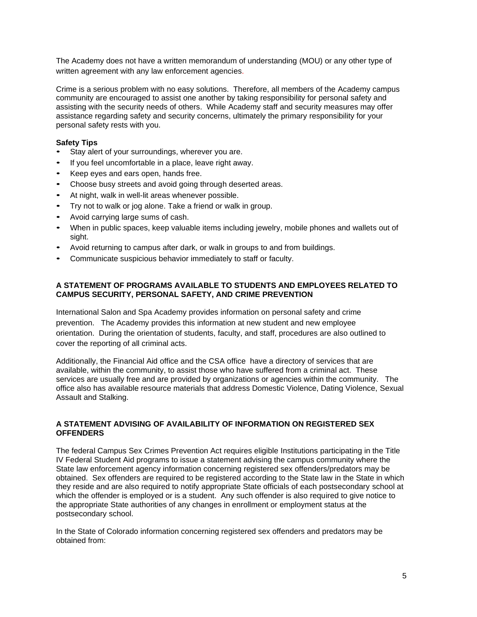The Academy does not have a written memorandum of understanding (MOU) or any other type of written agreement with any law enforcement agencies.

Crime is a serious problem with no easy solutions. Therefore, all members of the Academy campus community are encouraged to assist one another by taking responsibility for personal safety and assisting with the security needs of others. While Academy staff and security measures may offer assistance regarding safety and security concerns, ultimately the primary responsibility for your personal safety rests with you.

## **Safety Tips**

- Stay alert of your surroundings, wherever you are.
- If you feel uncomfortable in a place, leave right away.
- Keep eyes and ears open, hands free.
- Choose busy streets and avoid going through deserted areas.
- At night, walk in well-lit areas whenever possible.
- Try not to walk or jog alone. Take a friend or walk in group.
- Avoid carrying large sums of cash.
- When in public spaces, keep valuable items including jewelry, mobile phones and wallets out of sight.
- Avoid returning to campus after dark, or walk in groups to and from buildings.
- Communicate suspicious behavior immediately to staff or faculty.

## **A STATEMENT OF PROGRAMS AVAILABLE TO STUDENTS AND EMPLOYEES RELATED TO CAMPUS SECURITY, PERSONAL SAFETY, AND CRIME PREVENTION**

International Salon and Spa Academy provides information on personal safety and crime prevention. The Academy provides this information at new student and new employee orientation. During the orientation of students, faculty, and staff, procedures are also outlined to cover the reporting of all criminal acts.

Additionally, the Financial Aid office and the CSA office have a directory of services that are available, within the community, to assist those who have suffered from a criminal act. These services are usually free and are provided by organizations or agencies within the community. The office also has available resource materials that address Domestic Violence, Dating Violence, Sexual Assault and Stalking.

# **A STATEMENT ADVISING OF AVAILABILITY OF INFORMATION ON REGISTERED SEX OFFENDERS**

The federal Campus Sex Crimes Prevention Act requires eligible Institutions participating in the Title IV Federal Student Aid programs to issue a statement advising the campus community where the State law enforcement agency information concerning registered sex offenders/predators may be obtained. Sex offenders are required to be registered according to the State law in the State in which they reside and are also required to notify appropriate State officials of each postsecondary school at which the offender is employed or is a student. Any such offender is also required to give notice to the appropriate State authorities of any changes in enrollment or employment status at the postsecondary school.

In the State of Colorado information concerning registered sex offenders and predators may be obtained from: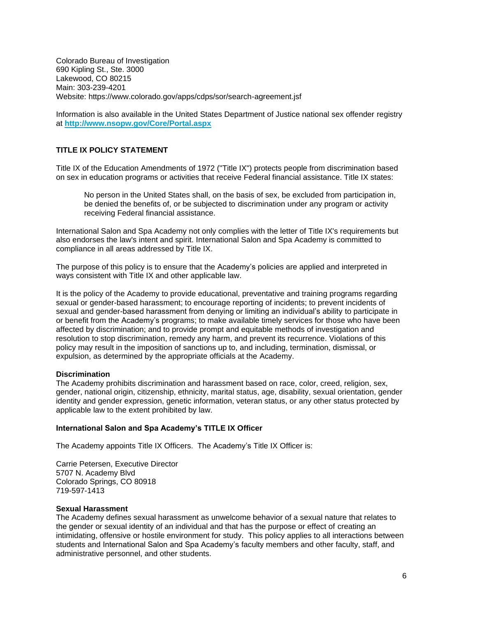Colorado Bureau of Investigation 690 Kipling St., Ste. 3000 Lakewood, CO 80215 Main: 303-239-4201 Website: https://www.colorado.gov/apps/cdps/sor/search-agreement.jsf

Information is also available in the United States Department of Justice national sex offender registry at **<http://www.nsopw.gov/Core/Portal.aspx>**

## **TITLE IX POLICY STATEMENT**

Title IX of the Education Amendments of 1972 ("Title IX") protects people from discrimination based on sex in education programs or activities that receive Federal financial assistance. Title IX states:

No person in the United States shall, on the basis of sex, be excluded from participation in, be denied the benefits of, or be subjected to discrimination under any program or activity receiving Federal financial assistance.

International Salon and Spa Academy not only complies with the letter of Title IX's requirements but also endorses the law's intent and spirit. International Salon and Spa Academy is committed to compliance in all areas addressed by Title IX.

The purpose of this policy is to ensure that the Academy's policies are applied and interpreted in ways consistent with Title IX and other applicable law.

It is the policy of the Academy to provide educational, preventative and training programs regarding sexual or gender-based harassment; to encourage reporting of incidents; to prevent incidents of sexual and gender-based harassment from denying or limiting an individual's ability to participate in or benefit from the Academy's programs; to make available timely services for those who have been affected by discrimination; and to provide prompt and equitable methods of investigation and resolution to stop discrimination, remedy any harm, and prevent its recurrence. Violations of this policy may result in the imposition of sanctions up to, and including, termination, dismissal, or expulsion, as determined by the appropriate officials at the Academy.

#### **Discrimination**

The Academy prohibits discrimination and harassment based on race, color, creed, religion, sex, gender, national origin, citizenship, ethnicity, marital status, age, disability, sexual orientation, gender identity and gender expression, genetic information, veteran status, or any other status protected by applicable law to the extent prohibited by law.

#### **International Salon and Spa Academy's TITLE IX Officer**

The Academy appoints Title IX Officers. The Academy's Title IX Officer is:

Carrie Petersen, Executive Director 5707 N. Academy Blvd Colorado Springs, CO 80918 719-597-1413

#### **Sexual Harassment**

The Academy defines sexual harassment as unwelcome behavior of a sexual nature that relates to the gender or sexual identity of an individual and that has the purpose or effect of creating an intimidating, offensive or hostile environment for study. This policy applies to all interactions between students and International Salon and Spa Academy's faculty members and other faculty, staff, and administrative personnel, and other students.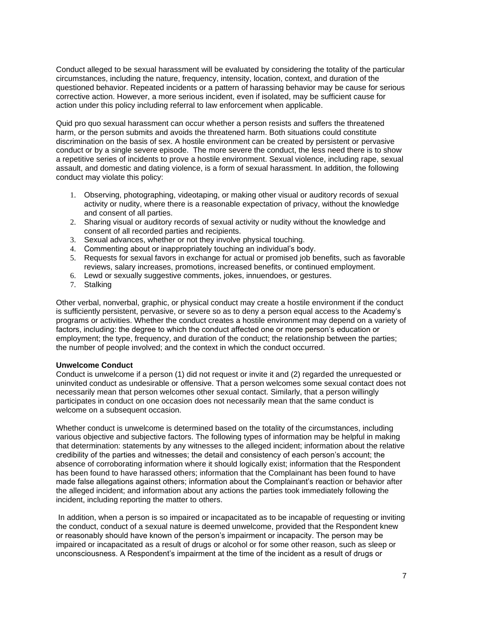Conduct alleged to be sexual harassment will be evaluated by considering the totality of the particular circumstances, including the nature, frequency, intensity, location, context, and duration of the questioned behavior. Repeated incidents or a pattern of harassing behavior may be cause for serious corrective action. However, a more serious incident, even if isolated, may be sufficient cause for action under this policy including referral to law enforcement when applicable.

Quid pro quo sexual harassment can occur whether a person resists and suffers the threatened harm, or the person submits and avoids the threatened harm. Both situations could constitute discrimination on the basis of sex. A hostile environment can be created by persistent or pervasive conduct or by a single severe episode. The more severe the conduct, the less need there is to show a repetitive series of incidents to prove a hostile environment. Sexual violence, including rape, sexual assault, and domestic and dating violence, is a form of sexual harassment. In addition, the following conduct may violate this policy:

- 1. Observing, photographing, videotaping, or making other visual or auditory records of sexual activity or nudity, where there is a reasonable expectation of privacy, without the knowledge and consent of all parties.
- 2. Sharing visual or auditory records of sexual activity or nudity without the knowledge and consent of all recorded parties and recipients.
- 3. Sexual advances, whether or not they involve physical touching.
- 4. Commenting about or inappropriately touching an individual's body.
- 5. Requests for sexual favors in exchange for actual or promised job benefits, such as favorable reviews, salary increases, promotions, increased benefits, or continued employment.
- 6. Lewd or sexually suggestive comments, jokes, innuendoes, or gestures.
- 7. Stalking

Other verbal, nonverbal, graphic, or physical conduct may create a hostile environment if the conduct is sufficiently persistent, pervasive, or severe so as to deny a person equal access to the Academy's programs or activities. Whether the conduct creates a hostile environment may depend on a variety of factors, including: the degree to which the conduct affected one or more person's education or employment; the type, frequency, and duration of the conduct; the relationship between the parties; the number of people involved; and the context in which the conduct occurred.

## **Unwelcome Conduct**

Conduct is unwelcome if a person (1) did not request or invite it and (2) regarded the unrequested or uninvited conduct as undesirable or offensive. That a person welcomes some sexual contact does not necessarily mean that person welcomes other sexual contact. Similarly, that a person willingly participates in conduct on one occasion does not necessarily mean that the same conduct is welcome on a subsequent occasion.

Whether conduct is unwelcome is determined based on the totality of the circumstances, including various objective and subjective factors. The following types of information may be helpful in making that determination: statements by any witnesses to the alleged incident; information about the relative credibility of the parties and witnesses; the detail and consistency of each person's account; the absence of corroborating information where it should logically exist; information that the Respondent has been found to have harassed others; information that the Complainant has been found to have made false allegations against others; information about the Complainant's reaction or behavior after the alleged incident; and information about any actions the parties took immediately following the incident, including reporting the matter to others.

In addition, when a person is so impaired or incapacitated as to be incapable of requesting or inviting the conduct, conduct of a sexual nature is deemed unwelcome, provided that the Respondent knew or reasonably should have known of the person's impairment or incapacity. The person may be impaired or incapacitated as a result of drugs or alcohol or for some other reason, such as sleep or unconsciousness. A Respondent's impairment at the time of the incident as a result of drugs or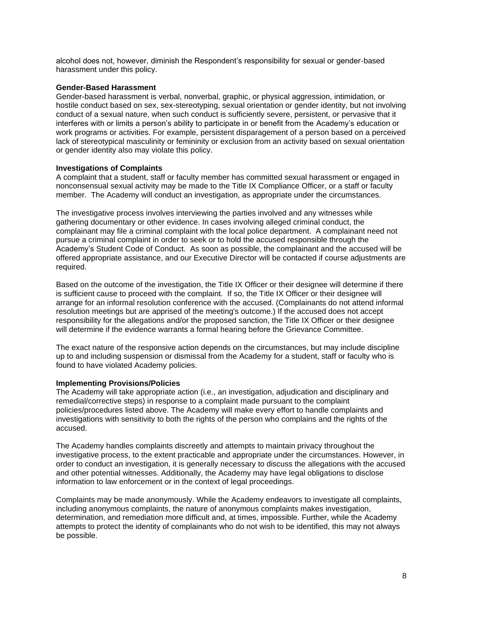alcohol does not, however, diminish the Respondent's responsibility for sexual or gender-based harassment under this policy.

## **Gender-Based Harassment**

Gender-based harassment is verbal, nonverbal, graphic, or physical aggression, intimidation, or hostile conduct based on sex, sex-stereotyping, sexual orientation or gender identity, but not involving conduct of a sexual nature, when such conduct is sufficiently severe, persistent, or pervasive that it interferes with or limits a person's ability to participate in or benefit from the Academy's education or work programs or activities. For example, persistent disparagement of a person based on a perceived lack of stereotypical masculinity or femininity or exclusion from an activity based on sexual orientation or gender identity also may violate this policy.

## **Investigations of Complaints**

A complaint that a student, staff or faculty member has committed sexual harassment or engaged in nonconsensual sexual activity may be made to the Title IX Compliance Officer, or a staff or faculty member. The Academy will conduct an investigation, as appropriate under the circumstances.

The investigative process involves interviewing the parties involved and any witnesses while gathering documentary or other evidence. In cases involving alleged criminal conduct, the complainant may file a criminal complaint with the local police department. A complainant need not pursue a criminal complaint in order to seek or to hold the accused responsible through the Academy's Student Code of Conduct. As soon as possible, the complainant and the accused will be offered appropriate assistance, and our Executive Director will be contacted if course adjustments are required.

Based on the outcome of the investigation, the Title IX Officer or their designee will determine if there is sufficient cause to proceed with the complaint. If so, the Title IX Officer or their designee will arrange for an informal resolution conference with the accused. (Complainants do not attend informal resolution meetings but are apprised of the meeting's outcome.) If the accused does not accept responsibility for the allegations and/or the proposed sanction, the Title IX Officer or their designee will determine if the evidence warrants a formal hearing before the Grievance Committee.

The exact nature of the responsive action depends on the circumstances, but may include discipline up to and including suspension or dismissal from the Academy for a student, staff or faculty who is found to have violated Academy policies.

## **Implementing Provisions/Policies**

The Academy will take appropriate action (i.e., an investigation, adjudication and disciplinary and remedial/corrective steps) in response to a complaint made pursuant to the complaint policies/procedures listed above. The Academy will make every effort to handle complaints and investigations with sensitivity to both the rights of the person who complains and the rights of the accused.

The Academy handles complaints discreetly and attempts to maintain privacy throughout the investigative process, to the extent practicable and appropriate under the circumstances. However, in order to conduct an investigation, it is generally necessary to discuss the allegations with the accused and other potential witnesses. Additionally, the Academy may have legal obligations to disclose information to law enforcement or in the context of legal proceedings.

Complaints may be made anonymously. While the Academy endeavors to investigate all complaints, including anonymous complaints, the nature of anonymous complaints makes investigation, determination, and remediation more difficult and, at times, impossible. Further, while the Academy attempts to protect the identity of complainants who do not wish to be identified, this may not always be possible.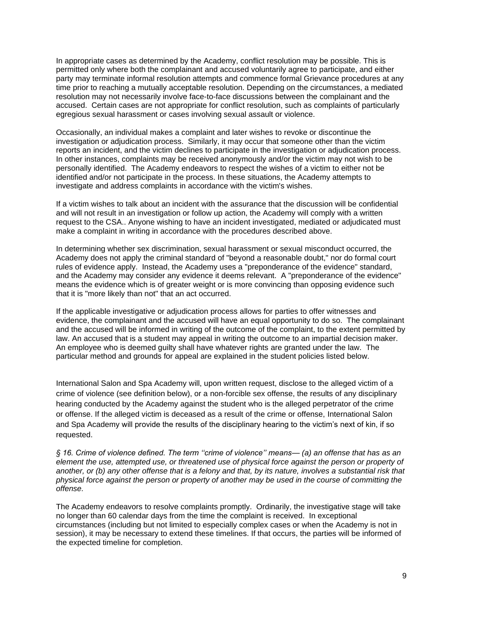In appropriate cases as determined by the Academy, conflict resolution may be possible. This is permitted only where both the complainant and accused voluntarily agree to participate, and either party may terminate informal resolution attempts and commence formal Grievance procedures at any time prior to reaching a mutually acceptable resolution. Depending on the circumstances, a mediated resolution may not necessarily involve face-to-face discussions between the complainant and the accused. Certain cases are not appropriate for conflict resolution, such as complaints of particularly egregious sexual harassment or cases involving sexual assault or violence.

Occasionally, an individual makes a complaint and later wishes to revoke or discontinue the investigation or adjudication process. Similarly, it may occur that someone other than the victim reports an incident, and the victim declines to participate in the investigation or adjudication process. In other instances, complaints may be received anonymously and/or the victim may not wish to be personally identified. The Academy endeavors to respect the wishes of a victim to either not be identified and/or not participate in the process. In these situations, the Academy attempts to investigate and address complaints in accordance with the victim's wishes.

If a victim wishes to talk about an incident with the assurance that the discussion will be confidential and will not result in an investigation or follow up action, the Academy will comply with a written request to the CSA.. Anyone wishing to have an incident investigated, mediated or adjudicated must make a complaint in writing in accordance with the procedures described above.

In determining whether sex discrimination, sexual harassment or sexual misconduct occurred, the Academy does not apply the criminal standard of "beyond a reasonable doubt," nor do formal court rules of evidence apply. Instead, the Academy uses a "preponderance of the evidence" standard, and the Academy may consider any evidence it deems relevant. A "preponderance of the evidence" means the evidence which is of greater weight or is more convincing than opposing evidence such that it is "more likely than not" that an act occurred.

If the applicable investigative or adjudication process allows for parties to offer witnesses and evidence, the complainant and the accused will have an equal opportunity to do so. The complainant and the accused will be informed in writing of the outcome of the complaint, to the extent permitted by law. An accused that is a student may appeal in writing the outcome to an impartial decision maker. An employee who is deemed guilty shall have whatever rights are granted under the law. The particular method and grounds for appeal are explained in the student policies listed below.

International Salon and Spa Academy will, upon written request, disclose to the alleged victim of a crime of violence (see definition below), or a non-forcible sex offense, the results of any disciplinary hearing conducted by the Academy against the student who is the alleged perpetrator of the crime or offense. If the alleged victim is deceased as a result of the crime or offense, International Salon and Spa Academy will provide the results of the disciplinary hearing to the victim's next of kin, if so requested.

*§ 16. Crime of violence defined. The term ''crime of violence'' means— (a) an offense that has as an element the use, attempted use, or threatened use of physical force against the person or property of another, or (b) any other offense that is a felony and that, by its nature, involves a substantial risk that physical force against the person or property of another may be used in the course of committing the offense.*

The Academy endeavors to resolve complaints promptly. Ordinarily, the investigative stage will take no longer than 60 calendar days from the time the complaint is received. In exceptional circumstances (including but not limited to especially complex cases or when the Academy is not in session), it may be necessary to extend these timelines. If that occurs, the parties will be informed of the expected timeline for completion.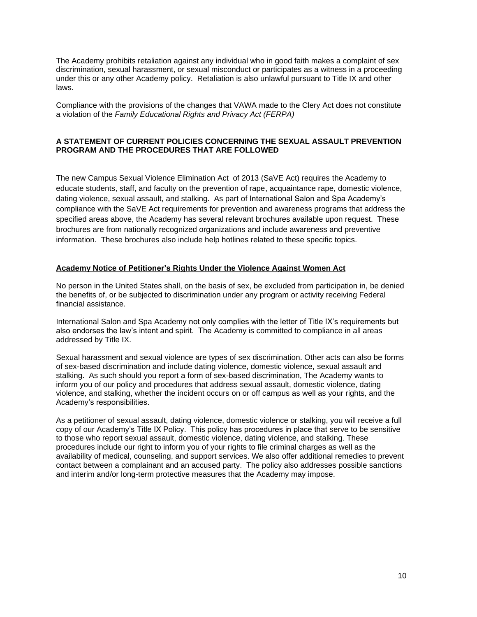The Academy prohibits retaliation against any individual who in good faith makes a complaint of sex discrimination, sexual harassment, or sexual misconduct or participates as a witness in a proceeding under this or any other Academy policy. Retaliation is also unlawful pursuant to Title IX and other laws.

Compliance with the provisions of the changes that VAWA made to the Clery Act does not constitute a violation of the *Family Educational Rights and Privacy Act (FERPA)*

## **A STATEMENT OF CURRENT POLICIES CONCERNING THE SEXUAL ASSAULT PREVENTION PROGRAM AND THE PROCEDURES THAT ARE FOLLOWED**

The new Campus Sexual Violence Elimination Act of 2013 (SaVE Act) requires the Academy to educate students, staff, and faculty on the prevention of rape, acquaintance rape, domestic violence, dating violence, sexual assault, and stalking. As part of International Salon and Spa Academy's compliance with the SaVE Act requirements for prevention and awareness programs that address the specified areas above, the Academy has several relevant brochures available upon request. These brochures are from nationally recognized organizations and include awareness and preventive information. These brochures also include help hotlines related to these specific topics.

## **Academy Notice of Petitioner's Rights Under the Violence Against Women Act**

No person in the United States shall, on the basis of sex, be excluded from participation in, be denied the benefits of, or be subjected to discrimination under any program or activity receiving Federal financial assistance.

International Salon and Spa Academy not only complies with the letter of Title IX's requirements but also endorses the law's intent and spirit. The Academy is committed to compliance in all areas addressed by Title IX.

Sexual harassment and sexual violence are types of sex discrimination. Other acts can also be forms of sex-based discrimination and include dating violence, domestic violence, sexual assault and stalking. As such should you report a form of sex-based discrimination, The Academy wants to inform you of our policy and procedures that address sexual assault, domestic violence, dating violence, and stalking, whether the incident occurs on or off campus as well as your rights, and the Academy's responsibilities.

As a petitioner of sexual assault, dating violence, domestic violence or stalking, you will receive a full copy of our Academy's Title IX Policy. This policy has procedures in place that serve to be sensitive to those who report sexual assault, domestic violence, dating violence, and stalking. These procedures include our right to inform you of your rights to file criminal charges as well as the availability of medical, counseling, and support services. We also offer additional remedies to prevent contact between a complainant and an accused party. The policy also addresses possible sanctions and interim and/or long-term protective measures that the Academy may impose.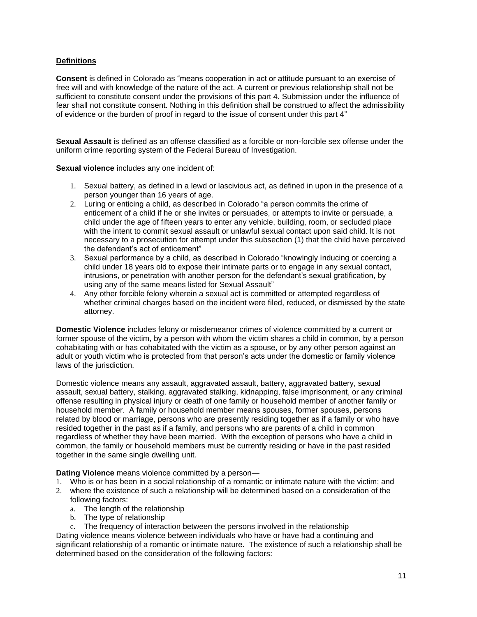## **Definitions**

**Consent** is defined in Colorado as "means cooperation in act or attitude pursuant to an exercise of free will and with knowledge of the nature of the act. A current or previous relationship shall not be sufficient to constitute consent under the provisions of this part 4. Submission under the influence of fear shall not constitute consent. Nothing in this definition shall be construed to affect the admissibility of evidence or the burden of proof in regard to the issue of consent under this part 4"

**Sexual Assault** is defined as an offense classified as a forcible or non-forcible sex offense under the uniform crime reporting system of the Federal Bureau of Investigation.

**Sexual violence** includes any one incident of:

- 1. Sexual battery, as defined in a lewd or lascivious act, as defined in upon in the presence of a person younger than 16 years of age.
- 2. Luring or enticing a child, as described in Colorado "a person commits the crime of enticement of a child if he or she invites or persuades, or attempts to invite or persuade, a child under the age of fifteen years to enter any vehicle, building, room, or secluded place with the intent to commit sexual assault or unlawful sexual contact upon said child. It is not necessary to a prosecution for attempt under this subsection (1) that the child have perceived the defendant's act of enticement"
- 3. Sexual performance by a child, as described in Colorado "knowingly inducing or coercing a child under 18 years old to expose their intimate parts or to engage in any sexual contact, intrusions, or penetration with another person for the defendant's sexual gratification, by using any of the same means listed for Sexual Assault"
- 4. Any other forcible felony wherein a sexual act is committed or attempted regardless of whether criminal charges based on the incident were filed, reduced, or dismissed by the state attorney.

**Domestic Violence** includes felony or misdemeanor crimes of violence committed by a current or former spouse of the victim, by a person with whom the victim shares a child in common, by a person cohabitating with or has cohabitated with the victim as a spouse, or by any other person against an adult or youth victim who is protected from that person's acts under the domestic or family violence laws of the jurisdiction.

Domestic violence means any assault, aggravated assault, battery, aggravated battery, sexual assault, sexual battery, stalking, aggravated stalking, kidnapping, false imprisonment, or any criminal offense resulting in physical injury or death of one family or household member of another family or household member. A family or household member means spouses, former spouses, persons related by blood or marriage, persons who are presently residing together as if a family or who have resided together in the past as if a family, and persons who are parents of a child in common regardless of whether they have been married. With the exception of persons who have a child in common, the family or household members must be currently residing or have in the past resided together in the same single dwelling unit.

**Dating Violence** means violence committed by a person—

- 1. Who is or has been in a social relationship of a romantic or intimate nature with the victim; and
- 2. where the existence of such a relationship will be determined based on a consideration of the following factors:
	- a. The length of the relationship
	- b. The type of relationship
	- c. The frequency of interaction between the persons involved in the relationship

Dating violence means violence between individuals who have or have had a continuing and significant relationship of a romantic or intimate nature. The existence of such a relationship shall be determined based on the consideration of the following factors: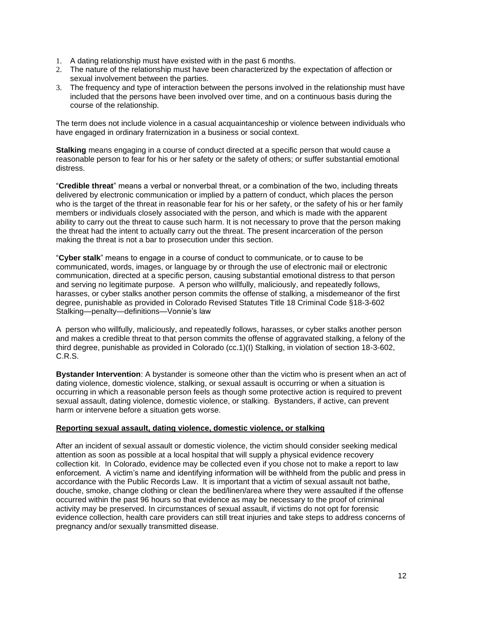- 1. A dating relationship must have existed with in the past 6 months.
- 2. The nature of the relationship must have been characterized by the expectation of affection or sexual involvement between the parties.
- 3. The frequency and type of interaction between the persons involved in the relationship must have included that the persons have been involved over time, and on a continuous basis during the course of the relationship.

The term does not include violence in a casual acquaintanceship or violence between individuals who have engaged in ordinary fraternization in a business or social context.

**Stalking** means engaging in a course of conduct directed at a specific person that would cause a reasonable person to fear for his or her safety or the safety of others; or suffer substantial emotional distress.

"**Credible threat**" means a verbal or nonverbal threat, or a combination of the two, including threats delivered by electronic communication or implied by a pattern of conduct, which places the person who is the target of the threat in reasonable fear for his or her safety, or the safety of his or her family members or individuals closely associated with the person, and which is made with the apparent ability to carry out the threat to cause such harm. It is not necessary to prove that the person making the threat had the intent to actually carry out the threat. The present incarceration of the person making the threat is not a bar to prosecution under this section.

"**Cyber stalk**" means to engage in a course of conduct to communicate, or to cause to be communicated, words, images, or language by or through the use of electronic mail or electronic communication, directed at a specific person, causing substantial emotional distress to that person and serving no legitimate purpose. A person who willfully, maliciously, and repeatedly follows, harasses, or cyber stalks another person commits the offense of stalking, a misdemeanor of the first degree, punishable as provided in Colorado Revised Statutes Title 18 Criminal Code §18-3-602 Stalking—penalty—definitions—Vonnie's law

A person who willfully, maliciously, and repeatedly follows, harasses, or cyber stalks another person and makes a credible threat to that person commits the offense of aggravated stalking, a felony of the third degree, punishable as provided in Colorado (cc.1)(I) Stalking, in violation of section 18-3-602, C.R.S.

**Bystander Intervention**: A bystander is someone other than the victim who is present when an act of dating violence, domestic violence, stalking, or sexual assault is occurring or when a situation is occurring in which a reasonable person feels as though some protective action is required to prevent sexual assault, dating violence, domestic violence, or stalking. Bystanders, if active, can prevent harm or intervene before a situation gets worse.

## **Reporting sexual assault, dating violence, domestic violence, or stalking**

After an incident of sexual assault or domestic violence, the victim should consider seeking medical attention as soon as possible at a local hospital that will supply a physical evidence recovery collection kit. In Colorado, evidence may be collected even if you chose not to make a report to law enforcement. A victim's name and identifying information will be withheld from the public and press in accordance with the Public Records Law. It is important that a victim of sexual assault not bathe, douche, smoke, change clothing or clean the bed/linen/area where they were assaulted if the offense occurred within the past 96 hours so that evidence as may be necessary to the proof of criminal activity may be preserved. In circumstances of sexual assault, if victims do not opt for forensic evidence collection, health care providers can still treat injuries and take steps to address concerns of pregnancy and/or sexually transmitted disease.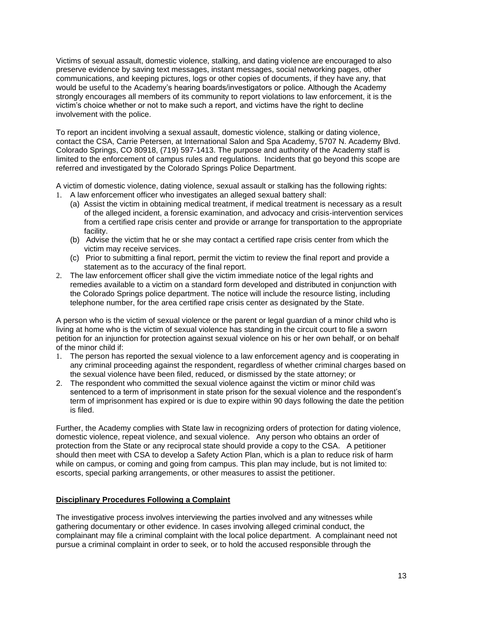Victims of sexual assault, domestic violence, stalking, and dating violence are encouraged to also preserve evidence by saving text messages, instant messages, social networking pages, other communications, and keeping pictures, logs or other copies of documents, if they have any, that would be useful to the Academy's hearing boards/investigators or police. Although the Academy strongly encourages all members of its community to report violations to law enforcement, it is the victim's choice whether or not to make such a report, and victims have the right to decline involvement with the police.

To report an incident involving a sexual assault, domestic violence, stalking or dating violence, contact the CSA, Carrie Petersen, at International Salon and Spa Academy, 5707 N. Academy Blvd. Colorado Springs, CO 80918, (719) 597-1413. The purpose and authority of the Academy staff is limited to the enforcement of campus rules and regulations. Incidents that go beyond this scope are referred and investigated by the Colorado Springs Police Department.

A victim of domestic violence, dating violence, sexual assault or stalking has the following rights:

- 1. A law enforcement officer who investigates an alleged sexual battery shall:
	- (a) Assist the victim in obtaining medical treatment, if medical treatment is necessary as a result of the alleged incident, a forensic examination, and advocacy and crisis-intervention services from a certified rape crisis center and provide or arrange for transportation to the appropriate facility.
	- (b) Advise the victim that he or she may contact a certified rape crisis center from which the victim may receive services.
	- (c) Prior to submitting a final report, permit the victim to review the final report and provide a statement as to the accuracy of the final report.
- 2. The law enforcement officer shall give the victim immediate notice of the legal rights and remedies available to a victim on a standard form developed and distributed in conjunction with the Colorado Springs police department. The notice will include the resource listing, including telephone number, for the area certified rape crisis center as designated by the State.

A person who is the victim of sexual violence or the parent or legal guardian of a minor child who is living at home who is the victim of sexual violence has standing in the circuit court to file a sworn petition for an injunction for protection against sexual violence on his or her own behalf, or on behalf of the minor child if:

- 1. The person has reported the sexual violence to a law enforcement agency and is cooperating in any criminal proceeding against the respondent, regardless of whether criminal charges based on the sexual violence have been filed, reduced, or dismissed by the state attorney; or
- 2. The respondent who committed the sexual violence against the victim or minor child was sentenced to a term of imprisonment in state prison for the sexual violence and the respondent's term of imprisonment has expired or is due to expire within 90 days following the date the petition is filed.

Further, the Academy complies with State law in recognizing orders of protection for dating violence, domestic violence, repeat violence, and sexual violence. Any person who obtains an order of protection from the State or any reciprocal state should provide a copy to the CSA. A petitioner should then meet with CSA to develop a Safety Action Plan, which is a plan to reduce risk of harm while on campus, or coming and going from campus. This plan may include, but is not limited to: escorts, special parking arrangements, or other measures to assist the petitioner.

# **Disciplinary Procedures Following a Complaint**

The investigative process involves interviewing the parties involved and any witnesses while gathering documentary or other evidence. In cases involving alleged criminal conduct, the complainant may file a criminal complaint with the local police department. A complainant need not pursue a criminal complaint in order to seek, or to hold the accused responsible through the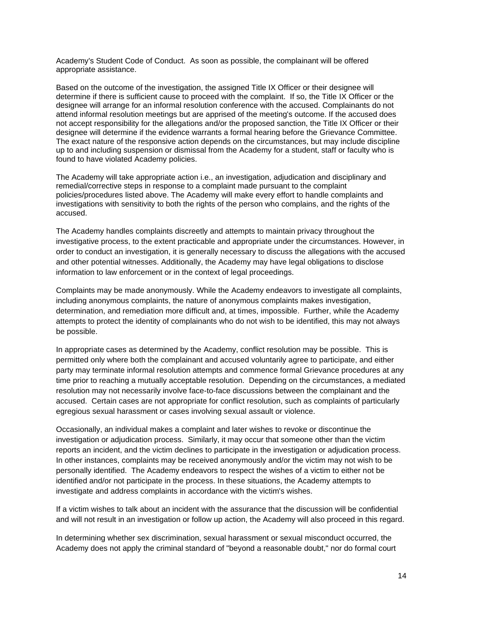Academy's Student Code of Conduct. As soon as possible, the complainant will be offered appropriate assistance.

Based on the outcome of the investigation, the assigned Title IX Officer or their designee will determine if there is sufficient cause to proceed with the complaint. If so, the Title IX Officer or the designee will arrange for an informal resolution conference with the accused. Complainants do not attend informal resolution meetings but are apprised of the meeting's outcome. If the accused does not accept responsibility for the allegations and/or the proposed sanction, the Title IX Officer or their designee will determine if the evidence warrants a formal hearing before the Grievance Committee. The exact nature of the responsive action depends on the circumstances, but may include discipline up to and including suspension or dismissal from the Academy for a student, staff or faculty who is found to have violated Academy policies.

The Academy will take appropriate action i.e., an investigation, adjudication and disciplinary and remedial/corrective steps in response to a complaint made pursuant to the complaint policies/procedures listed above. The Academy will make every effort to handle complaints and investigations with sensitivity to both the rights of the person who complains, and the rights of the accused.

The Academy handles complaints discreetly and attempts to maintain privacy throughout the investigative process, to the extent practicable and appropriate under the circumstances. However, in order to conduct an investigation, it is generally necessary to discuss the allegations with the accused and other potential witnesses. Additionally, the Academy may have legal obligations to disclose information to law enforcement or in the context of legal proceedings.

Complaints may be made anonymously. While the Academy endeavors to investigate all complaints, including anonymous complaints, the nature of anonymous complaints makes investigation, determination, and remediation more difficult and, at times, impossible. Further, while the Academy attempts to protect the identity of complainants who do not wish to be identified, this may not always be possible.

In appropriate cases as determined by the Academy, conflict resolution may be possible. This is permitted only where both the complainant and accused voluntarily agree to participate, and either party may terminate informal resolution attempts and commence formal Grievance procedures at any time prior to reaching a mutually acceptable resolution. Depending on the circumstances, a mediated resolution may not necessarily involve face-to-face discussions between the complainant and the accused. Certain cases are not appropriate for conflict resolution, such as complaints of particularly egregious sexual harassment or cases involving sexual assault or violence.

Occasionally, an individual makes a complaint and later wishes to revoke or discontinue the investigation or adjudication process. Similarly, it may occur that someone other than the victim reports an incident, and the victim declines to participate in the investigation or adjudication process. In other instances, complaints may be received anonymously and/or the victim may not wish to be personally identified. The Academy endeavors to respect the wishes of a victim to either not be identified and/or not participate in the process. In these situations, the Academy attempts to investigate and address complaints in accordance with the victim's wishes.

If a victim wishes to talk about an incident with the assurance that the discussion will be confidential and will not result in an investigation or follow up action, the Academy will also proceed in this regard.

In determining whether sex discrimination, sexual harassment or sexual misconduct occurred, the Academy does not apply the criminal standard of "beyond a reasonable doubt," nor do formal court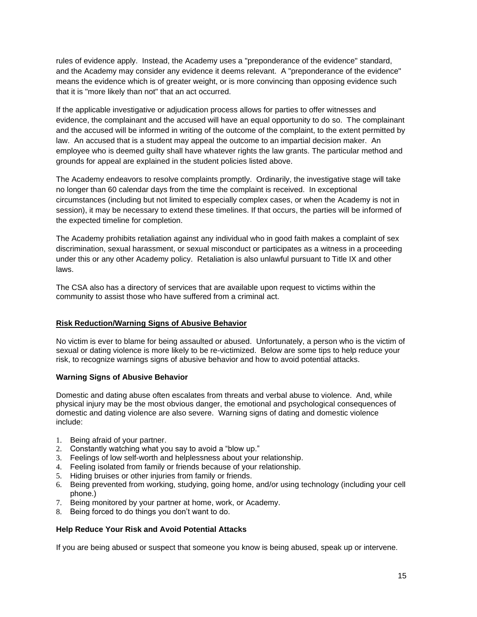rules of evidence apply. Instead, the Academy uses a "preponderance of the evidence" standard, and the Academy may consider any evidence it deems relevant. A "preponderance of the evidence" means the evidence which is of greater weight, or is more convincing than opposing evidence such that it is "more likely than not" that an act occurred.

If the applicable investigative or adjudication process allows for parties to offer witnesses and evidence, the complainant and the accused will have an equal opportunity to do so. The complainant and the accused will be informed in writing of the outcome of the complaint, to the extent permitted by law. An accused that is a student may appeal the outcome to an impartial decision maker. An employee who is deemed guilty shall have whatever rights the law grants. The particular method and grounds for appeal are explained in the student policies listed above.

The Academy endeavors to resolve complaints promptly. Ordinarily, the investigative stage will take no longer than 60 calendar days from the time the complaint is received. In exceptional circumstances (including but not limited to especially complex cases, or when the Academy is not in session), it may be necessary to extend these timelines. If that occurs, the parties will be informed of the expected timeline for completion.

The Academy prohibits retaliation against any individual who in good faith makes a complaint of sex discrimination, sexual harassment, or sexual misconduct or participates as a witness in a proceeding under this or any other Academy policy. Retaliation is also unlawful pursuant to Title IX and other laws.

The CSA also has a directory of services that are available upon request to victims within the community to assist those who have suffered from a criminal act.

# **Risk Reduction/Warning Signs of Abusive Behavior**

No victim is ever to blame for being assaulted or abused. Unfortunately, a person who is the victim of sexual or dating violence is more likely to be re-victimized. Below are some tips to help reduce your risk, to recognize warnings signs of abusive behavior and how to avoid potential attacks.

## **Warning Signs of Abusive Behavior**

Domestic and dating abuse often escalates from threats and verbal abuse to violence. And, while physical injury may be the most obvious danger, the emotional and psychological consequences of domestic and dating violence are also severe. Warning signs of dating and domestic violence include:

- 1. Being afraid of your partner.
- 2. Constantly watching what you say to avoid a "blow up."
- 3. Feelings of low self-worth and helplessness about your relationship.
- 4. Feeling isolated from family or friends because of your relationship.
- 5. Hiding bruises or other injuries from family or friends.
- 6. Being prevented from working, studying, going home, and/or using technology (including your cell phone.)
- 7. Being monitored by your partner at home, work, or Academy.
- 8. Being forced to do things you don't want to do.

# **Help Reduce Your Risk and Avoid Potential Attacks**

If you are being abused or suspect that someone you know is being abused, speak up or intervene.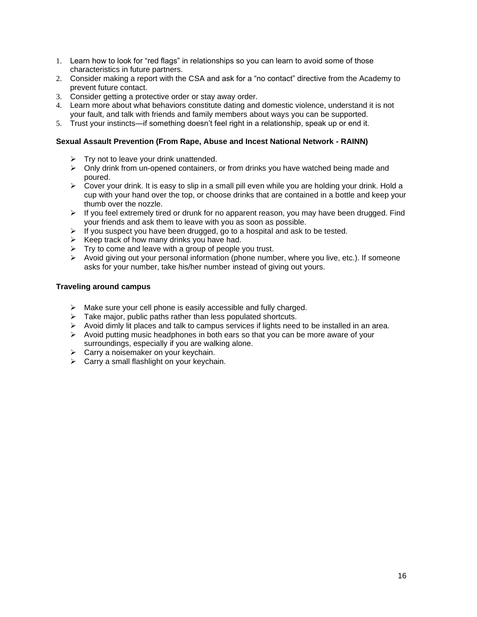- 1. Learn how to look for "red flags" in relationships so you can learn to avoid some of those characteristics in future partners.
- 2. Consider making a report with the CSA and ask for a "no contact" directive from the Academy to prevent future contact.
- 3. Consider getting a protective order or stay away order.
- 4. Learn more about what behaviors constitute dating and domestic violence, understand it is not your fault, and talk with friends and family members about ways you can be supported.
- 5. Trust your instincts—if something doesn't feel right in a relationship, speak up or end it.

## **Sexual Assault Prevention (From Rape, Abuse and Incest National Network - RAINN)**

- $\triangleright$  Try not to leave your drink unattended.
- ➢ Only drink from un-opened containers, or from drinks you have watched being made and poured.
- ➢ Cover your drink. It is easy to slip in a small pill even while you are holding your drink. Hold a cup with your hand over the top, or choose drinks that are contained in a bottle and keep your thumb over the nozzle.
- $\triangleright$  If you feel extremely tired or drunk for no apparent reason, you may have been drugged. Find your friends and ask them to leave with you as soon as possible.
- ➢ If you suspect you have been drugged, go to a hospital and ask to be tested.
- $\triangleright$  Keep track of how many drinks you have had.
- $\triangleright$  Try to come and leave with a group of people you trust.
- $\triangleright$  Avoid giving out your personal information (phone number, where you live, etc.). If someone asks for your number, take his/her number instead of giving out yours.

## **Traveling around campus**

- ➢ Make sure your cell phone is easily accessible and fully charged.
- $\triangleright$  Take major, public paths rather than less populated shortcuts.
- $\triangleright$  Avoid dimly lit places and talk to campus services if lights need to be installed in an area.
- $\triangleright$  Avoid putting music headphones in both ears so that you can be more aware of your surroundings, especially if you are walking alone.
- $\triangleright$  Carry a noisemaker on your keychain.
- $\triangleright$  Carry a small flashlight on your keychain.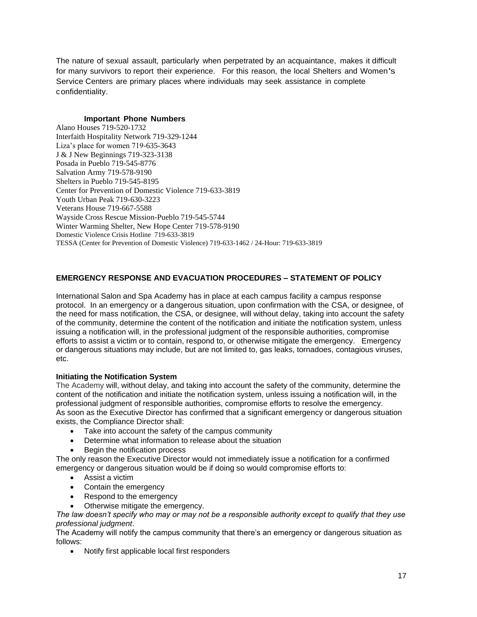The nature of sexual assault, particularly when perpetrated by an acquaintance, makes it difficult for many survivors to report their experience. For this reason, the local Shelters and Women's Service Centers are primary places where individuals may seek assistance in complete confidentiality.

# **Important Phone Numbers**

Alano Houses 719-520-1732 Interfaith Hospitality Network 719-329-1244 Liza's place for women 719-635-3643 J & J New Beginnings 719-323-3138 Posada in Pueblo 719-545-8776 Salvation Army 719-578-9190 Shelters in Pueblo 719-545-8195 Center for Prevention of Domestic Violence 719-633-3819 Youth Urban Peak 719-630-3223 Veterans House 719-667-5588 Wayside Cross Rescue Mission-Pueblo 719-545-5744 Winter Warming Shelter, New Hope Center 719-578-9190 Domestic Violence Crisis Hotline 719-633-3819 TESSA (Center for Prevention of Domestic Violence) 719-633-1462 / 24-Hour: 719-633-3819

# **EMERGENCY RESPONSE AND EVACUATION PROCEDURES – STATEMENT OF POLICY**

International Salon and Spa Academy has in place at each campus facility a campus response protocol. In an emergency or a dangerous situation, upon confirmation with the CSA, or designee, of the need for mass notification, the CSA, or designee, will without delay, taking into account the safety of the community, determine the content of the notification and initiate the notification system, unless issuing a notification will, in the professional judgment of the responsible authorities, compromise efforts to assist a victim or to contain, respond to, or otherwise mitigate the emergency. Emergency or dangerous situations may include, but are not limited to, gas leaks, tornadoes, contagious viruses, etc.

# **Initiating the Notification System**

The Academy will, without delay, and taking into account the safety of the community, determine the content of the notification and initiate the notification system, unless issuing a notification will, in the professional judgment of responsible authorities, compromise efforts to resolve the emergency. As soon as the Executive Director has confirmed that a significant emergency or dangerous situation exists, the Compliance Director shall:

- Take into account the safety of the campus community
- Determine what information to release about the situation
- Begin the notification process

The only reason the Executive Director would not immediately issue a notification for a confirmed emergency or dangerous situation would be if doing so would compromise efforts to:

- Assist a victim
- Contain the emergency
- Respond to the emergency
- Otherwise mitigate the emergency.

*The law doesn't specify who may or may not be a responsible authority except to qualify that they use professional judgment*.

The Academy will notify the campus community that there's an emergency or dangerous situation as follows:

• Notify first applicable local first responders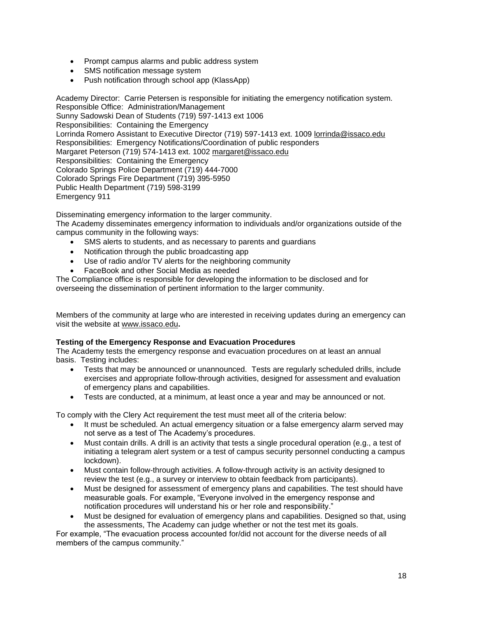- Prompt campus alarms and public address system
- SMS notification message system
- Push notification through school app (KlassApp)

Academy Director: Carrie Petersen is responsible for initiating the emergency notification system. Responsible Office: Administration/Management Sunny Sadowski Dean of Students (719) 597-1413 ext 1006 Responsibilities: Containing the Emergency Lorrinda Romero Assistant to Executive Director (719) 597-1413 ext. 1009 [lorrinda@issaco.edu](mailto:lorrinda@issaco.edu) Responsibilities: Emergency Notifications/Coordination of public responders Margaret Peterson (719) 574-1413 ext. 1002 [margaret@issaco.edu](mailto:margaret@issaco.edu) Responsibilities: Containing the Emergency Colorado Springs Police Department (719) 444-7000 Colorado Springs Fire Department (719) 395-5950 Public Health Department (719) 598-3199 Emergency 911

Disseminating emergency information to the larger community.

The Academy disseminates emergency information to individuals and/or organizations outside of the campus community in the following ways:

- SMS alerts to students, and as necessary to parents and guardians
- Notification through the public broadcasting app
- Use of radio and/or TV alerts for the neighboring community
- FaceBook and other Social Media as needed

The Compliance office is responsible for developing the information to be disclosed and for overseeing the dissemination of pertinent information to the larger community.

Members of the community at large who are interested in receiving updates during an emergency can visit the website at [www.issaco.edu](http://www.issaco.edu/)**.**

## **Testing of the Emergency Response and Evacuation Procedures**

The Academy tests the emergency response and evacuation procedures on at least an annual basis. Testing includes:

- Tests that may be announced or unannounced. Tests are regularly scheduled drills, include exercises and appropriate follow-through activities, designed for assessment and evaluation of emergency plans and capabilities.
- Tests are conducted, at a minimum, at least once a year and may be announced or not.

To comply with the Clery Act requirement the test must meet all of the criteria below:

- It must be scheduled. An actual emergency situation or a false emergency alarm served may not serve as a test of The Academy's procedures.
- Must contain drills. A drill is an activity that tests a single procedural operation (e.g., a test of initiating a telegram alert system or a test of campus security personnel conducting a campus lockdown).
- Must contain follow-through activities. A follow-through activity is an activity designed to review the test (e.g., a survey or interview to obtain feedback from participants).
- Must be designed for assessment of emergency plans and capabilities. The test should have measurable goals. For example, "Everyone involved in the emergency response and notification procedures will understand his or her role and responsibility."
- Must be designed for evaluation of emergency plans and capabilities. Designed so that, using the assessments, The Academy can judge whether or not the test met its goals.

For example, "The evacuation process accounted for/did not account for the diverse needs of all members of the campus community."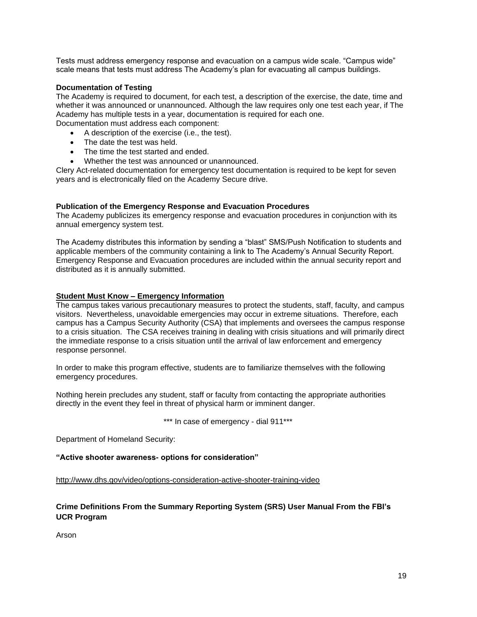Tests must address emergency response and evacuation on a campus wide scale. "Campus wide" scale means that tests must address The Academy's plan for evacuating all campus buildings.

## **Documentation of Testing**

The Academy is required to document, for each test, a description of the exercise, the date, time and whether it was announced or unannounced. Although the law requires only one test each year, if The Academy has multiple tests in a year, documentation is required for each one.

Documentation must address each component:

- A description of the exercise (i.e., the test).
- The date the test was held.
- The time the test started and ended.
- Whether the test was announced or unannounced.

Clery Act-related documentation for emergency test documentation is required to be kept for seven years and is electronically filed on the Academy Secure drive.

## **Publication of the Emergency Response and Evacuation Procedures**

The Academy publicizes its emergency response and evacuation procedures in conjunction with its annual emergency system test.

The Academy distributes this information by sending a "blast" SMS/Push Notification to students and applicable members of the community containing a link to The Academy's Annual Security Report. Emergency Response and Evacuation procedures are included within the annual security report and distributed as it is annually submitted.

## **Student Must Know – Emergency Information**

The campus takes various precautionary measures to protect the students, staff, faculty, and campus visitors. Nevertheless, unavoidable emergencies may occur in extreme situations. Therefore, each campus has a Campus Security Authority (CSA) that implements and oversees the campus response to a crisis situation. The CSA receives training in dealing with crisis situations and will primarily direct the immediate response to a crisis situation until the arrival of law enforcement and emergency response personnel.

In order to make this program effective, students are to familiarize themselves with the following emergency procedures.

Nothing herein precludes any student, staff or faculty from contacting the appropriate authorities directly in the event they feel in threat of physical harm or imminent danger.

\*\*\* In case of emergency - dial 911\*\*\*

Department of Homeland Security:

**"Active shooter awareness- options for consideration"**

<http://www.dhs.gov/video/options-consideration-active-shooter-training-video>

# **Crime Definitions From the Summary Reporting System (SRS) User Manual From the FBI's UCR Program**

Arson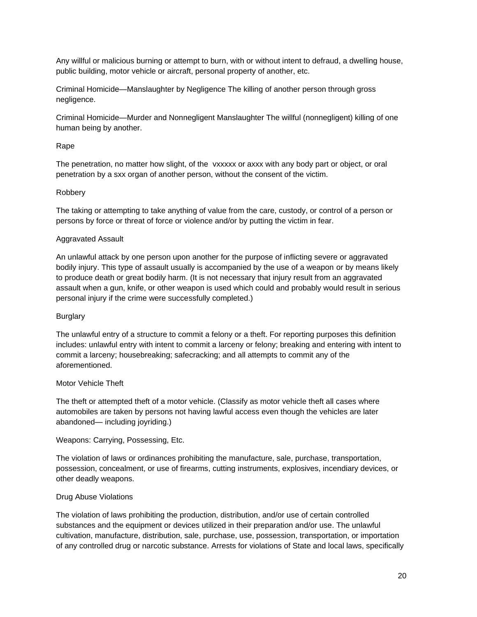Any willful or malicious burning or attempt to burn, with or without intent to defraud, a dwelling house, public building, motor vehicle or aircraft, personal property of another, etc.

Criminal Homicide—Manslaughter by Negligence The killing of another person through gross negligence.

Criminal Homicide—Murder and Nonnegligent Manslaughter The willful (nonnegligent) killing of one human being by another.

## Rape

The penetration, no matter how slight, of the vxxxxx or axxx with any body part or object, or oral penetration by a sxx organ of another person, without the consent of the victim.

## Robbery

The taking or attempting to take anything of value from the care, custody, or control of a person or persons by force or threat of force or violence and/or by putting the victim in fear.

## Aggravated Assault

An unlawful attack by one person upon another for the purpose of inflicting severe or aggravated bodily injury. This type of assault usually is accompanied by the use of a weapon or by means likely to produce death or great bodily harm. (It is not necessary that injury result from an aggravated assault when a gun, knife, or other weapon is used which could and probably would result in serious personal injury if the crime were successfully completed.)

## **Burglary**

The unlawful entry of a structure to commit a felony or a theft. For reporting purposes this definition includes: unlawful entry with intent to commit a larceny or felony; breaking and entering with intent to commit a larceny; housebreaking; safecracking; and all attempts to commit any of the aforementioned.

## Motor Vehicle Theft

The theft or attempted theft of a motor vehicle. (Classify as motor vehicle theft all cases where automobiles are taken by persons not having lawful access even though the vehicles are later abandoned— including joyriding.)

## Weapons: Carrying, Possessing, Etc.

The violation of laws or ordinances prohibiting the manufacture, sale, purchase, transportation, possession, concealment, or use of firearms, cutting instruments, explosives, incendiary devices, or other deadly weapons.

## Drug Abuse Violations

The violation of laws prohibiting the production, distribution, and/or use of certain controlled substances and the equipment or devices utilized in their preparation and/or use. The unlawful cultivation, manufacture, distribution, sale, purchase, use, possession, transportation, or importation of any controlled drug or narcotic substance. Arrests for violations of State and local laws, specifically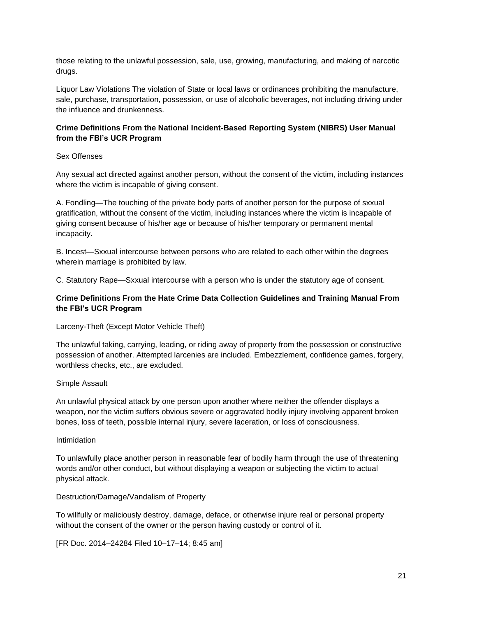those relating to the unlawful possession, sale, use, growing, manufacturing, and making of narcotic drugs.

Liquor Law Violations The violation of State or local laws or ordinances prohibiting the manufacture, sale, purchase, transportation, possession, or use of alcoholic beverages, not including driving under the influence and drunkenness.

# **Crime Definitions From the National Incident-Based Reporting System (NIBRS) User Manual from the FBI's UCR Program**

## Sex Offenses

Any sexual act directed against another person, without the consent of the victim, including instances where the victim is incapable of giving consent.

A. Fondling—The touching of the private body parts of another person for the purpose of sxxual gratification, without the consent of the victim, including instances where the victim is incapable of giving consent because of his/her age or because of his/her temporary or permanent mental incapacity.

B. Incest—Sxxual intercourse between persons who are related to each other within the degrees wherein marriage is prohibited by law.

C. Statutory Rape—Sxxual intercourse with a person who is under the statutory age of consent.

# **Crime Definitions From the Hate Crime Data Collection Guidelines and Training Manual From the FBI's UCR Program**

Larceny-Theft (Except Motor Vehicle Theft)

The unlawful taking, carrying, leading, or riding away of property from the possession or constructive possession of another. Attempted larcenies are included. Embezzlement, confidence games, forgery, worthless checks, etc., are excluded.

## Simple Assault

An unlawful physical attack by one person upon another where neither the offender displays a weapon, nor the victim suffers obvious severe or aggravated bodily injury involving apparent broken bones, loss of teeth, possible internal injury, severe laceration, or loss of consciousness.

## Intimidation

To unlawfully place another person in reasonable fear of bodily harm through the use of threatening words and/or other conduct, but without displaying a weapon or subjecting the victim to actual physical attack.

Destruction/Damage/Vandalism of Property

To willfully or maliciously destroy, damage, deface, or otherwise injure real or personal property without the consent of the owner or the person having custody or control of it.

[FR Doc. 2014–24284 Filed 10–17–14; 8:45 am]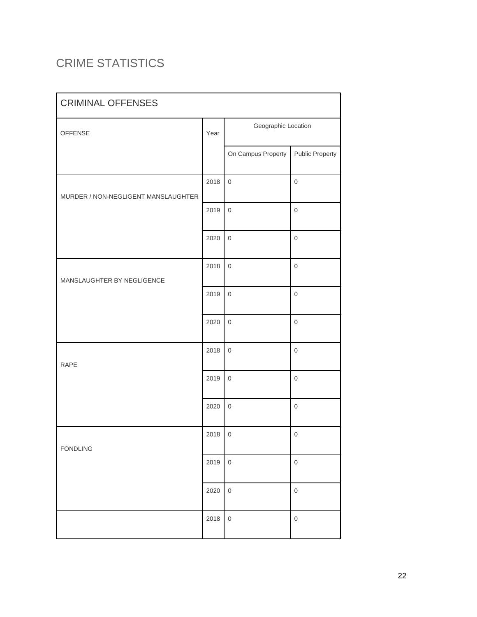# CRIME STATISTICS

| <b>CRIMINAL OFFENSES</b>            |      |                     |                        |  |  |
|-------------------------------------|------|---------------------|------------------------|--|--|
| OFFENSE                             | Year | Geographic Location |                        |  |  |
|                                     |      | On Campus Property  | <b>Public Property</b> |  |  |
| MURDER / NON-NEGLIGENT MANSLAUGHTER | 2018 | $\mathsf{O}\xspace$ | $\mathbf 0$            |  |  |
|                                     | 2019 | $\mathsf{O}\xspace$ | $\boldsymbol{0}$       |  |  |
|                                     | 2020 | $\mathsf{O}\xspace$ | $\boldsymbol{0}$       |  |  |
| MANSLAUGHTER BY NEGLIGENCE          |      | $\mathsf{O}\xspace$ | $\boldsymbol{0}$       |  |  |
|                                     |      | $\mathsf{O}\xspace$ | $\boldsymbol{0}$       |  |  |
|                                     | 2020 | $\mathsf{O}\xspace$ | $\boldsymbol{0}$       |  |  |
| <b>RAPE</b>                         |      | $\mathsf{O}\xspace$ | $\boldsymbol{0}$       |  |  |
|                                     | 2019 | $\mathsf{O}\xspace$ | $\boldsymbol{0}$       |  |  |
|                                     | 2020 | $\mathsf{O}\xspace$ | $\mathsf 0$            |  |  |
| <b>FONDLING</b>                     |      | $\,0\,$             | $\boldsymbol{0}$       |  |  |
|                                     |      | $\mathsf{O}\xspace$ | $\mathsf 0$            |  |  |
|                                     | 2020 | $\mathsf{O}\xspace$ | $\mathsf 0$            |  |  |
|                                     | 2018 | $\mathsf{O}\xspace$ | $\mathsf 0$            |  |  |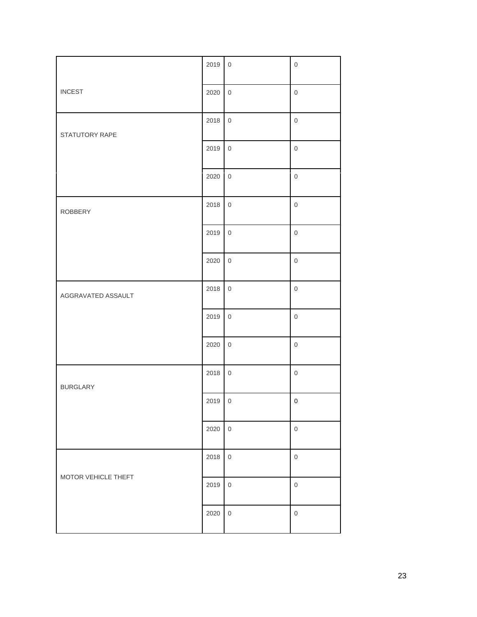|                     | 2019 | $\mathsf{O}\xspace$ | $\mathsf 0$         |
|---------------------|------|---------------------|---------------------|
| <b>INCEST</b>       | 2020 | $\mathsf{O}\xspace$ | $\mathsf{O}\xspace$ |
| STATUTORY RAPE      | 2018 | $\mathbf 0$         | $\mathbf 0$         |
|                     | 2019 | $\mathbf 0$         | $\mathbf 0$         |
|                     | 2020 | $\mathbf 0$         | $\mathbf 0$         |
| <b>ROBBERY</b>      | 2018 | $\mathbf 0$         | $\mathbf 0$         |
|                     | 2019 | $\mathbf 0$         | $\mathbf 0$         |
|                     | 2020 | $\mathbf 0$         | $\mathbf 0$         |
| AGGRAVATED ASSAULT  | 2018 | $\mathbf 0$         | $\mathbf 0$         |
|                     | 2019 | $\mathbf 0$         | $\mathbf 0$         |
|                     | 2020 | $\mathsf{O}\xspace$ | $\mathbf 0$         |
| <b>BURGLARY</b>     | 2018 | $\mathbf 0$         | $\mathsf{O}\xspace$ |
|                     | 2019 | $\mathbf 0$         | $\mathbf 0$         |
|                     | 2020 | $\mathsf{O}\xspace$ | $\mathsf{O}\xspace$ |
|                     | 2018 | $\mathbf 0$         | $\mathsf{O}\xspace$ |
| MOTOR VEHICLE THEFT | 2019 | $\mathbf 0$         | $\mathsf{O}\xspace$ |
|                     | 2020 | $\mathbf 0$         | $\mathsf{O}\xspace$ |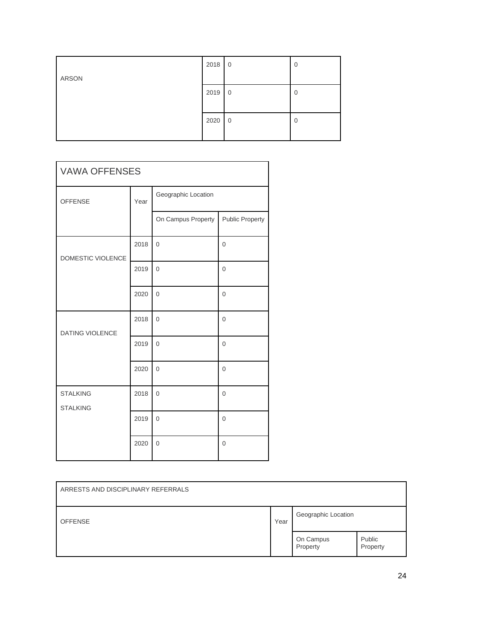|       | 2018 | $\overline{0}$ | 0              |
|-------|------|----------------|----------------|
| ARSON |      |                |                |
|       | 2019 | $\overline{0}$ | 0              |
|       |      |                |                |
|       | 2020 | $\overline{0}$ | $\overline{0}$ |
|       |      |                |                |

| <b>VAWA OFFENSES</b>               |      |                     |                        |
|------------------------------------|------|---------------------|------------------------|
| <b>OFFENSE</b>                     | Year | Geographic Location |                        |
|                                    |      | On Campus Property  | <b>Public Property</b> |
| DOMESTIC VIOLENCE                  | 2018 | $\overline{0}$      | $\overline{0}$         |
|                                    | 2019 | $\overline{0}$      | $\overline{0}$         |
|                                    | 2020 | $\Omega$            | $\Omega$               |
| <b>DATING VIOLENCE</b>             | 2018 | $\overline{0}$      | $\mathbf 0$            |
|                                    | 2019 | $\overline{0}$      | $\overline{0}$         |
|                                    | 2020 | $\overline{0}$      | $\overline{0}$         |
| <b>STALKING</b><br><b>STALKING</b> | 2018 | $\overline{0}$      | $\overline{0}$         |
|                                    | 2019 | $\overline{0}$      | $\overline{0}$         |
|                                    | 2020 | $\overline{0}$      | $\overline{0}$         |

| ARRESTS AND DISCIPLINARY REFERRALS |      |                       |                    |
|------------------------------------|------|-----------------------|--------------------|
| <b>OFFENSE</b>                     | Year | Geographic Location   |                    |
|                                    |      | On Campus<br>Property | Public<br>Property |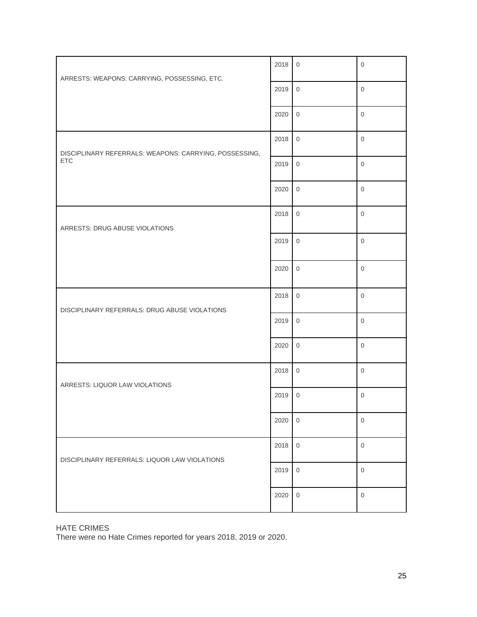| ARRESTS: WEAPONS: CARRYING, POSSESSING, ETC.           |      | $\mathbf 0$         | $\mathbf 0$         |
|--------------------------------------------------------|------|---------------------|---------------------|
|                                                        |      | $\mathsf{O}\xspace$ | $\mathbf 0$         |
|                                                        | 2020 | $\mathbf 0$         | $\mathbf 0$         |
| DISCIPLINARY REFERRALS: WEAPONS: CARRYING, POSSESSING, | 2018 | $\mathsf{O}$        | $\mathbf 0$         |
| <b>ETC</b>                                             | 2019 | $\mathsf{O}\xspace$ | $\mathsf{O}\xspace$ |
|                                                        | 2020 | $\mathbf 0$         | $\overline{0}$      |
| ARRESTS: DRUG ABUSE VIOLATIONS                         | 2018 | $\mathsf{O}$        | $\mathbf 0$         |
|                                                        | 2019 | $\mathbf 0$         | $\mathbf 0$         |
|                                                        | 2020 | $\mathbf 0$         | $\mathbf 0$         |
| DISCIPLINARY REFERRALS: DRUG ABUSE VIOLATIONS          | 2018 | $\mathsf{O}$        | $\mathsf{O}\xspace$ |
|                                                        |      | $\mathsf 0$         | $\mathbf 0$         |
|                                                        | 2020 | $\mathsf{O}$        | $\overline{0}$      |
| ARRESTS: LIQUOR LAW VIOLATIONS                         | 2018 | $\,0\,$             | $\mathsf{O}\xspace$ |
|                                                        |      | $\,0\,$             | $\mathbf 0$         |
|                                                        | 2020 | $\mathbf{0}$        | $\mathbf{0}$        |
| DISCIPLINARY REFERRALS: LIQUOR LAW VIOLATIONS          |      | $\mathsf{O}$        | $\mathbf 0$         |
|                                                        |      | $\mathsf{O}\xspace$ | $\mathsf{O}\xspace$ |
|                                                        | 2020 | $\mathsf{O}\xspace$ | $\mathbf 0$         |

HATE CRIMES

There were no Hate Crimes reported for years 2018, 2019 or 2020.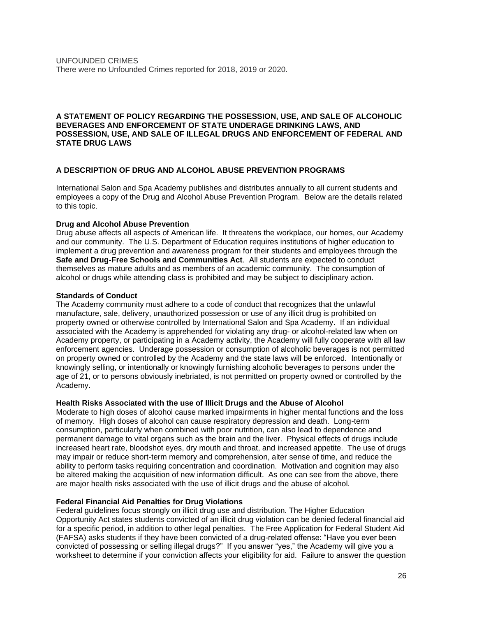## **A STATEMENT OF POLICY REGARDING THE POSSESSION, USE, AND SALE OF ALCOHOLIC BEVERAGES AND ENFORCEMENT OF STATE UNDERAGE DRINKING LAWS, AND POSSESSION, USE, AND SALE OF ILLEGAL DRUGS AND ENFORCEMENT OF FEDERAL AND STATE DRUG LAWS**

## **A DESCRIPTION OF DRUG AND ALCOHOL ABUSE PREVENTION PROGRAMS**

International Salon and Spa Academy publishes and distributes annually to all current students and employees a copy of the Drug and Alcohol Abuse Prevention Program. Below are the details related to this topic.

## **Drug and Alcohol Abuse Prevention**

Drug abuse affects all aspects of American life. It threatens the workplace, our homes, our Academy and our community. The U.S. Department of Education requires institutions of higher education to implement a drug prevention and awareness program for their students and employees through the **Safe and Drug-Free Schools and Communities Act**. All students are expected to conduct themselves as mature adults and as members of an academic community. The consumption of alcohol or drugs while attending class is prohibited and may be subject to disciplinary action.

## **Standards of Conduct**

The Academy community must adhere to a code of conduct that recognizes that the unlawful manufacture, sale, delivery, unauthorized possession or use of any illicit drug is prohibited on property owned or otherwise controlled by International Salon and Spa Academy. If an individual associated with the Academy is apprehended for violating any drug- or alcohol-related law when on Academy property, or participating in a Academy activity, the Academy will fully cooperate with all law enforcement agencies. Underage possession or consumption of alcoholic beverages is not permitted on property owned or controlled by the Academy and the state laws will be enforced. Intentionally or knowingly selling, or intentionally or knowingly furnishing alcoholic beverages to persons under the age of 21, or to persons obviously inebriated, is not permitted on property owned or controlled by the Academy.

## **Health Risks Associated with the use of Illicit Drugs and the Abuse of Alcohol**

Moderate to high doses of alcohol cause marked impairments in higher mental functions and the loss of memory. High doses of alcohol can cause respiratory depression and death. Long-term consumption, particularly when combined with poor nutrition, can also lead to dependence and permanent damage to vital organs such as the brain and the liver. Physical effects of drugs include increased heart rate, bloodshot eyes, dry mouth and throat, and increased appetite. The use of drugs may impair or reduce short-term memory and comprehension, alter sense of time, and reduce the ability to perform tasks requiring concentration and coordination. Motivation and cognition may also be altered making the acquisition of new information difficult. As one can see from the above, there are major health risks associated with the use of illicit drugs and the abuse of alcohol.

## **Federal Financial Aid Penalties for Drug Violations**

Federal guidelines focus strongly on illicit drug use and distribution. The Higher Education Opportunity Act states students convicted of an illicit drug violation can be denied federal financial aid for a specific period, in addition to other legal penalties. The Free Application for Federal Student Aid (FAFSA) asks students if they have been convicted of a drug-related offense: "Have you ever been convicted of possessing or selling illegal drugs?" If you answer "yes," the Academy will give you a worksheet to determine if your conviction affects your eligibility for aid. Failure to answer the question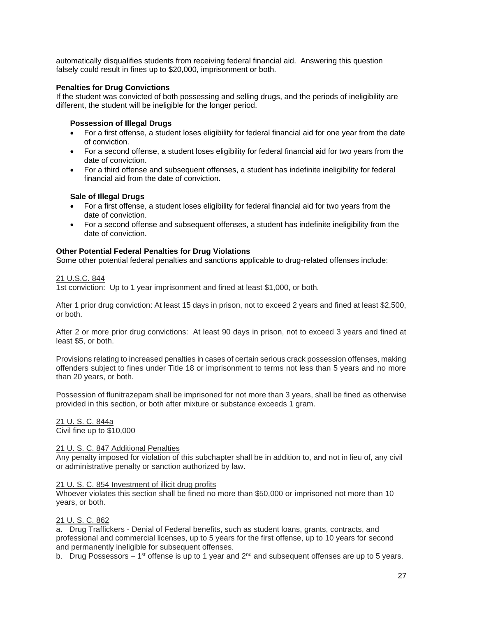automatically disqualifies students from receiving federal financial aid. Answering this question falsely could result in fines up to \$20,000, imprisonment or both.

## **Penalties for Drug Convictions**

If the student was convicted of both possessing and selling drugs, and the periods of ineligibility are different, the student will be ineligible for the longer period.

## **Possession of Illegal Drugs**

- For a first offense, a student loses eligibility for federal financial aid for one year from the date of conviction.
- For a second offense, a student loses eligibility for federal financial aid for two years from the date of conviction.
- For a third offense and subsequent offenses, a student has indefinite ineligibility for federal financial aid from the date of conviction.

## **Sale of Illegal Drugs**

- For a first offense, a student loses eligibility for federal financial aid for two years from the date of conviction.
- For a second offense and subsequent offenses, a student has indefinite ineligibility from the date of conviction.

## **Other Potential Federal Penalties for Drug Violations**

Some other potential federal penalties and sanctions applicable to drug-related offenses include:

21 U.S.C. 844

1st conviction: Up to 1 year imprisonment and fined at least \$1,000, or both.

After 1 prior drug conviction: At least 15 days in prison, not to exceed 2 years and fined at least \$2,500, or both.

After 2 or more prior drug convictions: At least 90 days in prison, not to exceed 3 years and fined at least \$5, or both.

Provisions relating to increased penalties in cases of certain serious crack possession offenses, making offenders subject to fines under Title 18 or imprisonment to terms not less than 5 years and no more than 20 years, or both.

Possession of flunitrazepam shall be imprisoned for not more than 3 years, shall be fined as otherwise provided in this section, or both after mixture or substance exceeds 1 gram.

21 U. S. C. 844a Civil fine up to \$10,000

## 21 U. S. C. 847 Additional Penalties

Any penalty imposed for violation of this subchapter shall be in addition to, and not in lieu of, any civil or administrative penalty or sanction authorized by law.

## 21 U. S. C. 854 Investment of illicit drug profits

Whoever violates this section shall be fined no more than \$50,000 or imprisoned not more than 10 years, or both.

## 21 U. S. C. 862

a. Drug Traffickers - Denial of Federal benefits, such as student loans, grants, contracts, and professional and commercial licenses, up to 5 years for the first offense, up to 10 years for second and permanently ineligible for subsequent offenses.

b. Drug Possessors – 1<sup>st</sup> offense is up to 1 year and 2<sup>nd</sup> and subsequent offenses are up to 5 years.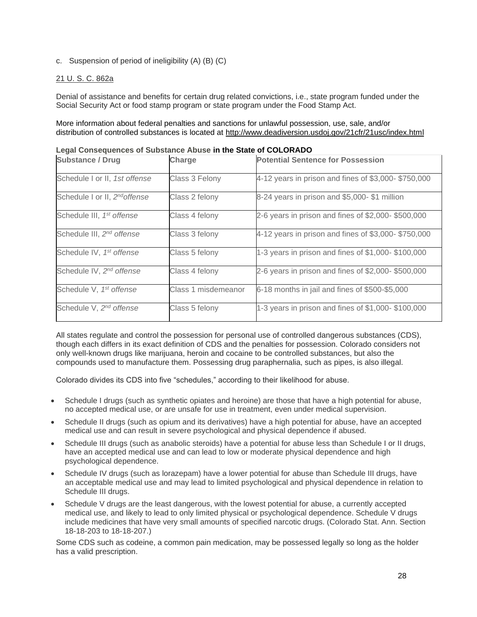c. Suspension of period of ineligibility (A) (B) (C)

# 21 U. S. C. 862a

Denial of assistance and benefits for certain drug related convictions, i.e., state program funded under the Social Security Act or food stamp program or state program under the Food Stamp Act.

More information about federal penalties and sanctions for unlawful possession, use, sale, and/or distribution of controlled substances is located at<http://www.deadiversion.usdoj.gov/21cfr/21usc/index.html>

| <b>Substance / Drug</b>               | Charge              | <b>Potential Sentence for Possession</b>            |
|---------------------------------------|---------------------|-----------------------------------------------------|
| Schedule I or II, 1st offense         | Class 3 Felony      | 4-12 years in prison and fines of \$3,000-\$750,000 |
| Schedule I or II, 2nd offense         | Class 2 felony      | 8-24 years in prison and \$5,000-\$1 million        |
| Schedule III, 1 <sup>st</sup> offense | Class 4 felony      | 2-6 years in prison and fines of \$2,000-\$500,000  |
| Schedule III, 2 <sup>nd</sup> offense | Class 3 felony      | 4-12 years in prison and fines of \$3,000-\$750,000 |
| Schedule IV, 1st offense              | Class 5 felony      | 1-3 years in prison and fines of \$1,000- \$100,000 |
| Schedule IV, 2 <sup>nd</sup> offense  | Class 4 felony      | 2-6 years in prison and fines of \$2,000- \$500,000 |
| Schedule V, 1 <sup>st</sup> offense   | Class 1 misdemeanor | 6-18 months in jail and fines of \$500-\$5,000      |
| Schedule V, 2 <sup>nd</sup> offense   | Class 5 felony      | 1-3 years in prison and fines of \$1,000-\$100,000  |

**Legal Consequences of Substance Abuse in the State of COLORADO**

All states regulate and control the possession for personal use of controlled dangerous substances (CDS), though each differs in its exact definition of CDS and the penalties for possession. Colorado considers not only well-known drugs like marijuana, heroin and cocaine to be controlled substances, but also the compounds used to manufacture them. Possessing drug paraphernalia, such as pipes, is also illegal.

Colorado divides its CDS into five "schedules," according to their likelihood for abuse.

- Schedule I drugs (such as synthetic opiates and heroine) are those that have a high potential for abuse, no accepted medical use, or are unsafe for use in treatment, even under medical supervision.
- Schedule II drugs (such as opium and its derivatives) have a high potential for abuse, have an accepted medical use and can result in severe psychological and physical dependence if abused.
- Schedule III drugs (such as anabolic steroids) have a potential for abuse less than Schedule I or II drugs, have an accepted medical use and can lead to low or moderate physical dependence and high psychological dependence.
- Schedule IV drugs (such as lorazepam) have a lower potential for abuse than Schedule III drugs, have an acceptable medical use and may lead to limited psychological and physical dependence in relation to Schedule III drugs.
- Schedule V drugs are the least dangerous, with the lowest potential for abuse, a currently accepted medical use, and likely to lead to only limited physical or psychological dependence. Schedule V drugs include medicines that have very small amounts of specified narcotic drugs. (Colorado Stat. Ann. Section 18-18-203 to 18-18-207.)

Some CDS such as codeine, a common pain medication, may be possessed legally so long as the holder has a valid prescription.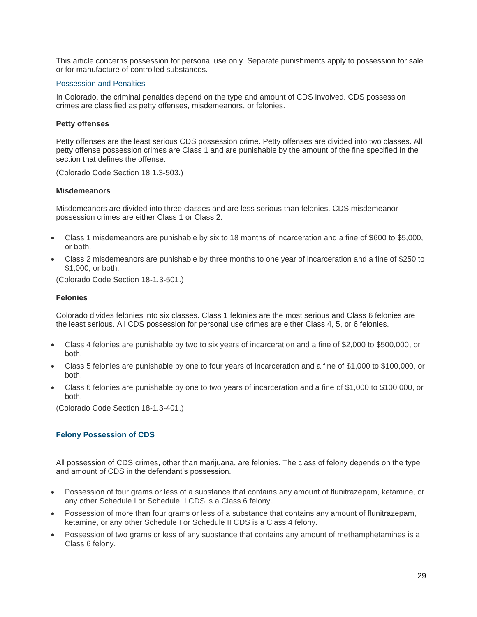This article concerns possession for personal use only. Separate punishments apply to possession for sale or for manufacture of controlled substances.

#### Possession and Penalties

In Colorado, the criminal penalties depend on the type and amount of CDS involved. CDS possession crimes are classified as petty offenses, misdemeanors, or felonies.

#### **Petty offenses**

Petty offenses are the least serious CDS possession crime. Petty offenses are divided into two classes. All petty offense possession crimes are Class 1 and are punishable by the amount of the fine specified in the section that defines the offense.

(Colorado Code Section 18.1.3-503.)

#### **Misdemeanors**

Misdemeanors are divided into three classes and are less serious than felonies. CDS misdemeanor possession crimes are either Class 1 or Class 2.

- Class 1 misdemeanors are punishable by six to 18 months of incarceration and a fine of \$600 to \$5,000, or both.
- Class 2 misdemeanors are punishable by three months to one year of incarceration and a fine of \$250 to \$1,000, or both.

(Colorado Code Section 18-1.3-501.)

#### **Felonies**

Colorado divides felonies into six classes. Class 1 felonies are the most serious and Class 6 felonies are the least serious. All CDS possession for personal use crimes are either Class 4, 5, or 6 felonies.

- Class 4 felonies are punishable by two to six years of incarceration and a fine of \$2,000 to \$500,000, or both.
- Class 5 felonies are punishable by one to four years of incarceration and a fine of \$1,000 to \$100,000, or both.
- Class 6 felonies are punishable by one to two years of incarceration and a fine of \$1,000 to \$100,000, or both.

(Colorado Code Section 18-1.3-401.)

# **Felony Possession of CDS**

All possession of CDS crimes, other than marijuana, are felonies. The class of felony depends on the type and amount of CDS in the defendant's possession.

- Possession of four grams or less of a substance that contains any amount of flunitrazepam, ketamine, or any other Schedule I or Schedule II CDS is a Class 6 felony.
- Possession of more than four grams or less of a substance that contains any amount of flunitrazepam, ketamine, or any other Schedule I or Schedule II CDS is a Class 4 felony.
- Possession of two grams or less of any substance that contains any amount of methamphetamines is a Class 6 felony.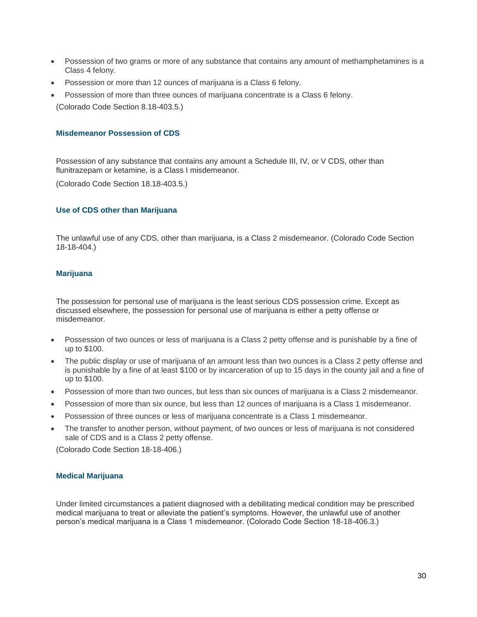- Possession of two grams or more of any substance that contains any amount of methamphetamines is a Class 4 felony.
- Possession or more than 12 ounces of marijuana is a Class 6 felony.
- Possession of more than three ounces of marijuana concentrate is a Class 6 felony. (Colorado Code Section 8.18-403.5.)

## **Misdemeanor Possession of CDS**

Possession of any substance that contains any amount a Schedule III, IV, or V CDS, other than flunitrazepam or ketamine, is a Class I misdemeanor.

(Colorado Code Section 18.18-403.5.)

## **Use of CDS other than Marijuana**

The unlawful use of any CDS, other than marijuana, is a Class 2 misdemeanor. (Colorado Code Section 18-18-404.)

## **Marijuana**

The possession for personal use of marijuana is the least serious CDS possession crime. Except as discussed elsewhere, the possession for personal use of marijuana is either a petty offense or misdemeanor.

- Possession of two ounces or less of marijuana is a Class 2 petty offense and is punishable by a fine of up to \$100.
- The public display or use of marijuana of an amount less than two ounces is a Class 2 petty offense and is punishable by a fine of at least \$100 or by incarceration of up to 15 days in the county jail and a fine of up to \$100.
- Possession of more than two ounces, but less than six ounces of marijuana is a Class 2 misdemeanor.
- Possession of more than six ounce, but less than 12 ounces of marijuana is a Class 1 misdemeanor.
- Possession of three ounces or less of marijuana concentrate is a Class 1 misdemeanor.
- The transfer to another person, without payment, of two ounces or less of marijuana is not considered sale of CDS and is a Class 2 petty offense.

(Colorado Code Section 18-18-406.)

## **Medical Marijuana**

Under limited circumstances a patient diagnosed with a debilitating medical condition may be prescribed medical marijuana to treat or alleviate the patient's symptoms. However, the unlawful use of another person's medical marijuana is a Class 1 misdemeanor. (Colorado Code Section 18-18-406.3.)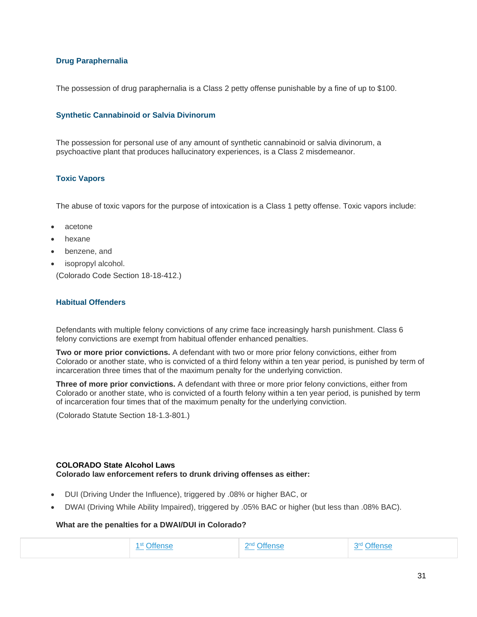## **Drug Paraphernalia**

The possession of drug paraphernalia is a Class 2 petty offense punishable by a fine of up to \$100.

## **Synthetic Cannabinoid or Salvia Divinorum**

The possession for personal use of any amount of synthetic cannabinoid or salvia divinorum, a psychoactive plant that produces hallucinatory experiences, is a Class 2 misdemeanor.

## **Toxic Vapors**

The abuse of toxic vapors for the purpose of intoxication is a Class 1 petty offense. Toxic vapors include:

- acetone
- hexane
- benzene, and
- isopropyl alcohol. (Colorado Code Section 18-18-412.)

## **Habitual Offenders**

Defendants with multiple felony convictions of any crime face increasingly harsh punishment. Class 6 felony convictions are exempt from habitual offender enhanced penalties.

**Two or more prior convictions.** A defendant with two or more prior felony convictions, either from Colorado or another state, who is convicted of a third felony within a ten year period, is punished by term of incarceration three times that of the maximum penalty for the underlying conviction.

**Three of more prior convictions.** A defendant with three or more prior felony convictions, either from Colorado or another state, who is convicted of a fourth felony within a ten year period, is punished by term of incarceration four times that of the maximum penalty for the underlying conviction.

(Colorado Statute Section 18-1.3-801.)

## **COLORADO State Alcohol Laws Colorado law enforcement refers to drunk driving offenses as either:**

- DUI (Driving Under the Influence), triggered by .08% or higher BAC, or
- DWAI (Driving While Ability Impaired), triggered by .05% BAC or higher (but less than .08% BAC).

## **What are the penalties for a DWAI/DUI in Colorado?**

| )ttense | 2nd | 2rd            |
|---------|-----|----------------|
| -SL     | _   | <b>Iffense</b> |
|         |     |                |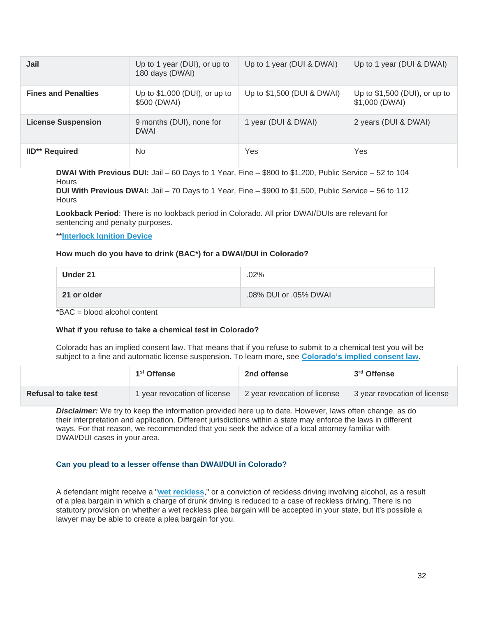| Jail                       | Up to 1 year (DUI), or up to<br>180 days (DWAI) | Up to 1 year (DUI & DWAI)  | Up to 1 year (DUI & DWAI)                        |
|----------------------------|-------------------------------------------------|----------------------------|--------------------------------------------------|
| <b>Fines and Penalties</b> | Up to $$1,000$ (DUI), or up to<br>\$500 (DWAI)  | Up to \$1,500 (DUI & DWAI) | Up to $$1,500$ (DUI), or up to<br>\$1,000 (DWAI) |
| <b>License Suspension</b>  | 9 months (DUI), none for<br><b>DWAI</b>         | 1 year (DUI & DWAI)        | 2 years (DUI & DWAI)                             |
| <b>IID** Required</b>      | No.                                             | Yes                        | Yes                                              |

**DWAI With Previous DUI:** Jail – 60 Days to 1 Year, Fine – \$800 to \$1,200, Public Service – 52 to 104 **Hours** 

**DUI With Previous DWAI:** Jail – 70 Days to 1 Year, Fine – \$900 to \$1,500, Public Service – 56 to 112 **Hours** 

**Lookback Period**: There is no lookback period in Colorado. All prior DWAI/DUIs are relevant for sentencing and penalty purposes.

## \*\***[Interlock Ignition Device](http://dui.drivinglaws.org/interlock.php)**

#### **How much do you have to drink (BAC\*) for a DWAI/DUI in Colorado?**

| Under 21    | .02%                  |
|-------------|-----------------------|
| 21 or older | .08% DUI or .05% DWAI |

\*BAC = blood alcohol content

## **What if you refuse to take a chemical test in Colorado?**

Colorado has an implied consent law. That means that if you refuse to submit to a chemical test you will be subject to a fine and automatic license suspension. To learn more, see **[Colorado's implied consent law](http://dui.drivinglaws.org/resources/dui-refusal-blood-breath-urine-test/colorado.htm)**.

|                      | 1 <sup>st</sup> Offense    | 2nd offense                  | 3 <sup>rd</sup> Offense      |
|----------------------|----------------------------|------------------------------|------------------------------|
| Refusal to take test | vear revocation of license | 2 year revocation of license | 3 year revocation of license |

*Disclaimer:* We try to keep the information provided here up to date. However, laws often change, as do their interpretation and application. Different jurisdictions within a state may enforce the laws in different ways. For that reason, we recommended that you seek the advice of a local attorney familiar with DWAI/DUI cases in your area.

#### **Can you plead to a lesser offense than DWAI/DUI in Colorado?**

A defendant might receive a "**[wet reckless](http://dui.drivinglaws.org/resources/dui-and-dwi/dui-laws-state/can-i-plead-wet-reckless-colorado.ht)**," or a conviction of reckless driving involving alcohol, as a result of a plea bargain in which a charge of drunk driving is reduced to a case of reckless driving. There is no statutory provision on whether a wet reckless plea bargain will be accepted in your state, but it's possible a lawyer may be able to create a plea bargain for you.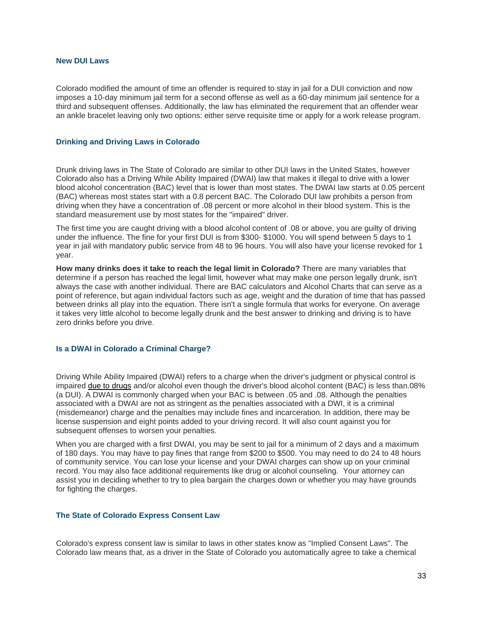#### **New DUI Laws**

Colorado modified the amount of time an offender is required to stay in jail for a DUI conviction and now imposes a 10-day minimum jail term for a second offense as well as a 60-day minimum jail sentence for a third and subsequent offenses. Additionally, the law has eliminated the requirement that an offender wear an ankle bracelet leaving only two options: either serve requisite time or apply for a work release program.

#### **Drinking and Driving Laws in Colorado**

Drunk driving laws in The State of Colorado are similar to other DUI laws in the United States, however Colorado also has a Driving While Ability Impaired (DWAI) law that makes it illegal to drive with a lower blood alcohol concentration (BAC) level that is lower than most states. The DWAI law starts at 0.05 percent (BAC) whereas most states start with a 0.8 percent BAC. The Colorado DUI law prohibits a person from driving when they have a concentration of .08 percent or more alcohol in their blood system. This is the standard measurement use by most states for the "impaired" driver.

The first time you are caught driving with a blood alcohol content of .08 or above, you are guilty of driving under the influence. The fine for your first DUI is from \$300- \$1000. You will spend between 5 days to 1 year in jail with mandatory public service from 48 to 96 hours. You will also have your license revoked for 1 year.

**How many drinks does it take to reach the legal limit in Colorado?** There are many variables that determine if a person has reached the legal limit, however what may make one person legally drunk, isn't always the case with another individual. There are BAC calculators and Alcohol Charts that can serve as a point of reference, but again individual factors such as age, weight and the duration of time that has passed between drinks all play into the equation. There isn't a single formula that works for everyone. On average it takes very little alcohol to become legally drunk and the best answer to drinking and driving is to have zero drinks before you drive.

#### **Is a DWAI in Colorado a Criminal Charge?**

Driving While Ability Impaired (DWAI) refers to a charge when the driver's judgment or physical control is impaired [due to drugs](http://dui.drivinglaws.org/resources/colorados-drugged-driving-law.htm) and/or alcohol even though the driver's blood alcohol content (BAC) is less than.08% (a DUI). A DWAI is commonly charged when your BAC is between .05 and .08. Although the penalties associated with a DWAI are not as stringent as the penalties associated with a DWI, it is a criminal (misdemeanor) charge and the penalties may include fines and incarceration. In addition, there may be license suspension and eight points added to your driving record. It will also count against you for subsequent offenses to worsen your penalties.

When you are charged with a first DWAI, you may be sent to jail for a minimum of 2 days and a maximum of 180 days. You may have to pay fines that range from \$200 to \$500. You may need to do 24 to 48 hours of community service. You can lose your license and your DWAI charges can show up on your criminal record. You may also face additional requirements like drug or alcohol counseling. Your attorney can assist you in deciding whether to try to plea bargain the charges down or whether you may have grounds for fighting the charges.

#### **The State of Colorado Express Consent Law**

Colorado's express consent law is similar to laws in other states know as "Implied Consent Laws". The Colorado law means that, as a driver in the State of Colorado you automatically agree to take a chemical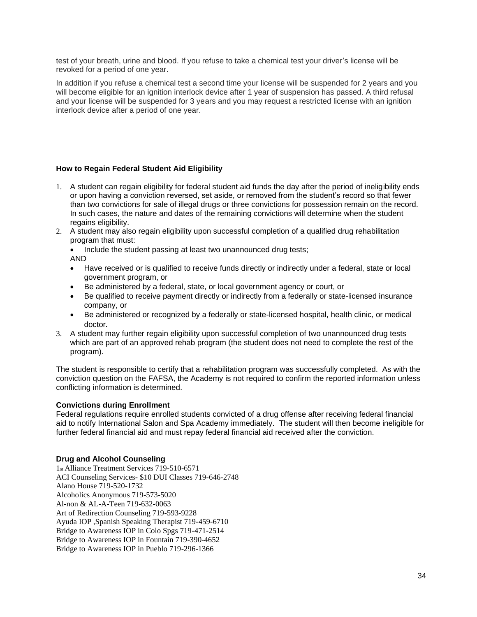test of your breath, urine and blood. If you refuse to take a chemical test your driver's license will be revoked for a period of one year.

In addition if you refuse a chemical test a second time your license will be suspended for 2 years and you will become eligible for an ignition interlock device after 1 year of suspension has passed. A third refusal and your license will be suspended for 3 years and you may request a restricted license with an ignition interlock device after a period of one year.

## **How to Regain Federal Student Aid Eligibility**

- 1. A student can regain eligibility for federal student aid funds the day after the period of ineligibility ends or upon having a conviction reversed, set aside, or removed from the student's record so that fewer than two convictions for sale of illegal drugs or three convictions for possession remain on the record. In such cases, the nature and dates of the remaining convictions will determine when the student regains eligibility.
- 2. A student may also regain eligibility upon successful completion of a qualified drug rehabilitation program that must:
	- Include the student passing at least two unannounced drug tests;
	- AND
	- Have received or is qualified to receive funds directly or indirectly under a federal, state or local government program, or
	- Be administered by a federal, state, or local government agency or court, or
	- Be qualified to receive payment directly or indirectly from a federally or state-licensed insurance company, or
	- Be administered or recognized by a federally or state-licensed hospital, health clinic, or medical doctor.
- 3. A student may further regain eligibility upon successful completion of two unannounced drug tests which are part of an approved rehab program (the student does not need to complete the rest of the program).

The student is responsible to certify that a rehabilitation program was successfully completed. As with the conviction question on the FAFSA, the Academy is not required to confirm the reported information unless conflicting information is determined.

## **Convictions during Enrollment**

Federal regulations require enrolled students convicted of a drug offense after receiving federal financial aid to notify International Salon and Spa Academy immediately. The student will then become ineligible for further federal financial aid and must repay federal financial aid received after the conviction.

## **Drug and Alcohol Counseling**

1st Alliance Treatment Services 719-510-6571 ACI Counseling Services- \$10 DUI Classes 719-646-2748 Alano House 719-520-1732 Alcoholics Anonymous 719-573-5020 Al-non & AL-A-Teen 719-632-0063 Art of Redirection Counseling 719-593-9228 Ayuda IOP ,Spanish Speaking Therapist 719-459-6710 Bridge to Awareness IOP in Colo Spgs 719-471-2514 Bridge to Awareness IOP in Fountain 719-390-4652 Bridge to Awareness IOP in Pueblo 719-296-1366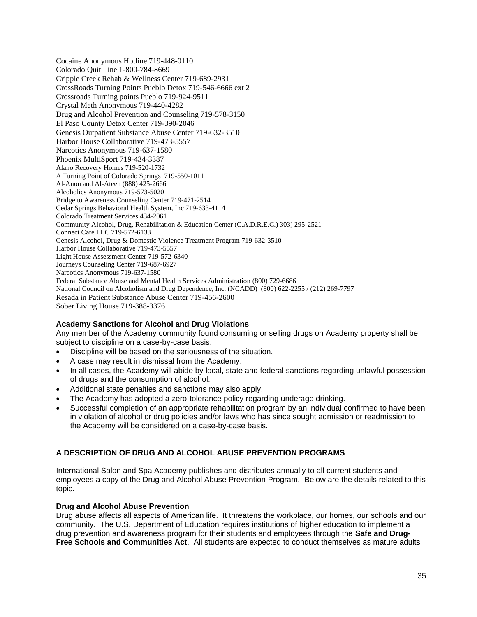Cocaine Anonymous Hotline 719-448-0110 Colorado Quit Line 1-800-784-8669 Cripple Creek Rehab & Wellness Center 719-689-2931 CrossRoads Turning Points Pueblo Detox 719-546-6666 ext 2 Crossroads Turning points Pueblo 719-924-9511 Crystal Meth Anonymous 719-440-4282 Drug and Alcohol Prevention and Counseling 719-578-3150 El Paso County Detox Center 719-390-2046 Genesis Outpatient Substance Abuse Center 719-632-3510 Harbor House Collaborative 719-473-5557 Narcotics Anonymous 719-637-1580 Phoenix MultiSport 719-434-3387 Alano Recovery Homes 719-520-1732 A Turning Point of Colorado Springs 719-550-1011 Al-Anon and Al-Ateen (888) 425-2666 Alcoholics Anonymous 719-573-5020 Bridge to Awareness Counseling Center 719-471-2514 Cedar Springs Behavioral Health System, Inc 719-633-4114 Colorado Treatment Services 434-2061 Community Alcohol, Drug, Rehabilitation & Education Center (C.A.D.R.E.C.) 303) 295-2521 Connect Care LLC 719-572-6133 Genesis Alcohol, Drug & Domestic Violence Treatment Program 719-632-3510 Harbor House Collaborative 719-473-5557 Light House Assessment Center 719-572-6340 Journeys Counseling Center 719-687-6927 Narcotics Anonymous 719-637-1580 Federal Substance Abuse and Mental Health Services Administration (800) 729-6686 National Council on Alcoholism and Drug Dependence, Inc. (NCADD) (800) 622-2255 / (212) 269-7797 Resada in Patient Substance Abuse Center 719-456-2600 Sober Living House 719-388-3376

# **Academy Sanctions for Alcohol and Drug Violations**

Any member of the Academy community found consuming or selling drugs on Academy property shall be subject to discipline on a case-by-case basis.

- Discipline will be based on the seriousness of the situation.
- A case may result in dismissal from the Academy.
- In all cases, the Academy will abide by local, state and federal sanctions regarding unlawful possession of drugs and the consumption of alcohol.
- Additional state penalties and sanctions may also apply.
- The Academy has adopted a zero-tolerance policy regarding underage drinking.
- Successful completion of an appropriate rehabilitation program by an individual confirmed to have been in violation of alcohol or drug policies and/or laws who has since sought admission or readmission to the Academy will be considered on a case-by-case basis.

# **A DESCRIPTION OF DRUG AND ALCOHOL ABUSE PREVENTION PROGRAMS**

International Salon and Spa Academy publishes and distributes annually to all current students and employees a copy of the Drug and Alcohol Abuse Prevention Program. Below are the details related to this topic.

## **Drug and Alcohol Abuse Prevention**

Drug abuse affects all aspects of American life. It threatens the workplace, our homes, our schools and our community. The U.S. Department of Education requires institutions of higher education to implement a drug prevention and awareness program for their students and employees through the **Safe and Drug-Free Schools and Communities Act**. All students are expected to conduct themselves as mature adults